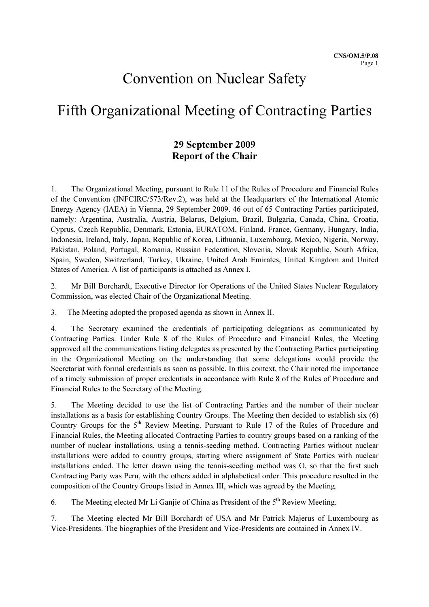# Convention on Nuclear Safety

# Fifth Organizational Meeting of Contracting Parties

## 29 September 2009 Report of the Chair

1. The Organizational Meeting, pursuant to Rule 11 of the Rules of Procedure and Financial Rules of the Convention (INFCIRC/573/Rev.2), was held at the Headquarters of the International Atomic Energy Agency (IAEA) in Vienna, 29 September 2009. 46 out of 65 Contracting Parties participated, namely: Argentina, Australia, Austria, Belarus, Belgium, Brazil, Bulgaria, Canada, China, Croatia, Cyprus, Czech Republic, Denmark, Estonia, EURATOM, Finland, France, Germany, Hungary, India, Indonesia, Ireland, Italy, Japan, Republic of Korea, Lithuania, Luxembourg, Mexico, Nigeria, Norway, Pakistan, Poland, Portugal, Romania, Russian Federation, Slovenia, Slovak Republic, South Africa, Spain, Sweden, Switzerland, Turkey, Ukraine, United Arab Emirates, United Kingdom and United States of America. A list of participants is attached as Annex I.

2. Mr Bill Borchardt, Executive Director for Operations of the United States Nuclear Regulatory Commission, was elected Chair of the Organizational Meeting.

3. The Meeting adopted the proposed agenda as shown in Annex II.

4. The Secretary examined the credentials of participating delegations as communicated by Contracting Parties. Under Rule 8 of the Rules of Procedure and Financial Rules, the Meeting approved all the communications listing delegates as presented by the Contracting Parties participating in the Organizational Meeting on the understanding that some delegations would provide the Secretariat with formal credentials as soon as possible. In this context, the Chair noted the importance of a timely submission of proper credentials in accordance with Rule 8 of the Rules of Procedure and Financial Rules to the Secretary of the Meeting.

5. The Meeting decided to use the list of Contracting Parties and the number of their nuclear installations as a basis for establishing Country Groups. The Meeting then decided to establish six (6) Country Groups for the  $5<sup>th</sup>$  Review Meeting. Pursuant to Rule 17 of the Rules of Procedure and Financial Rules, the Meeting allocated Contracting Parties to country groups based on a ranking of the number of nuclear installations, using a tennis-seeding method. Contracting Parties without nuclear installations were added to country groups, starting where assignment of State Parties with nuclear installations ended. The letter drawn using the tennis-seeding method was O, so that the first such Contracting Party was Peru, with the others added in alphabetical order. This procedure resulted in the composition of the Country Groups listed in Annex III, which was agreed by the Meeting.

6. The Meeting elected Mr Li Ganjie of China as President of the  $5<sup>th</sup>$  Review Meeting.

7. The Meeting elected Mr Bill Borchardt of USA and Mr Patrick Majerus of Luxembourg as Vice-Presidents. The biographies of the President and Vice-Presidents are contained in Annex IV.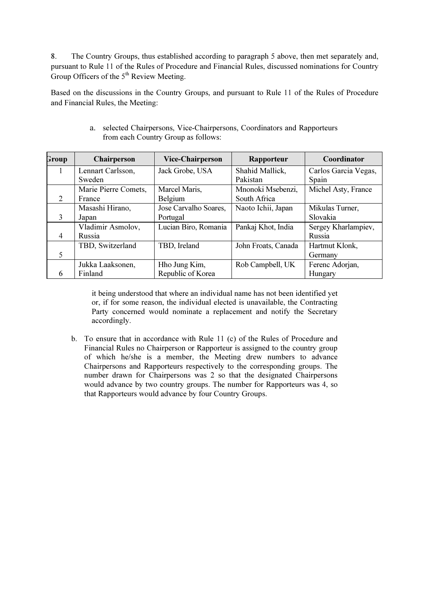8. The Country Groups, thus established according to paragraph 5 above, then met separately and, pursuant to Rule 11 of the Rules of Procedure and Financial Rules, discussed nominations for Country Group Officers of the  $5<sup>th</sup>$  Review Meeting.

Based on the discussions in the Country Groups, and pursuant to Rule 11 of the Rules of Procedure and Financial Rules, the Meeting:

| Group          | Chairperson          | <b>Vice-Chairperson</b> | Rapporteur          | Coordinator          |
|----------------|----------------------|-------------------------|---------------------|----------------------|
| 1              | Lennart Carlsson,    | Jack Grobe, USA         | Shahid Mallick,     | Carlos Garcia Vegas, |
|                | Sweden               |                         | Pakistan            | Spain                |
|                | Marie Pierre Comets, | Marcel Maris,           | Mnonoki Msebenzi,   | Michel Asty, France  |
| 2              | France               | Belgium                 | South Africa        |                      |
|                | Masashi Hirano,      | Jose Carvalho Soares,   | Naoto Ichii, Japan  | Mikulas Turner,      |
| 3              | Japan                | Portugal                |                     | Slovakia             |
|                | Vladimir Asmolov,    | Lucian Biro, Romania    | Pankaj Khot, India  | Sergey Kharlampiev,  |
| $\overline{4}$ | Russia               |                         |                     | Russia               |
|                | TBD, Switzerland     | TBD, Ireland            | John Froats, Canada | Hartmut Klonk,       |
| 5              |                      |                         |                     | Germany              |
|                | Jukka Laaksonen,     | Hho Jung Kim,           | Rob Campbell, UK    | Ferenc Adorjan,      |
| 6              | Finland              | Republic of Korea       |                     | Hungary              |

a. selected Chairpersons, Vice-Chairpersons, Coordinators and Rapporteurs from each Country Group as follows:

it being understood that where an individual name has not been identified yet or, if for some reason, the individual elected is unavailable, the Contracting Party concerned would nominate a replacement and notify the Secretary accordingly.

b. To ensure that in accordance with Rule 11 (c) of the Rules of Procedure and Financial Rules no Chairperson or Rapporteur is assigned to the country group of which he/she is a member, the Meeting drew numbers to advance Chairpersons and Rapporteurs respectively to the corresponding groups. The number drawn for Chairpersons was 2 so that the designated Chairpersons would advance by two country groups. The number for Rapporteurs was 4, so that Rapporteurs would advance by four Country Groups.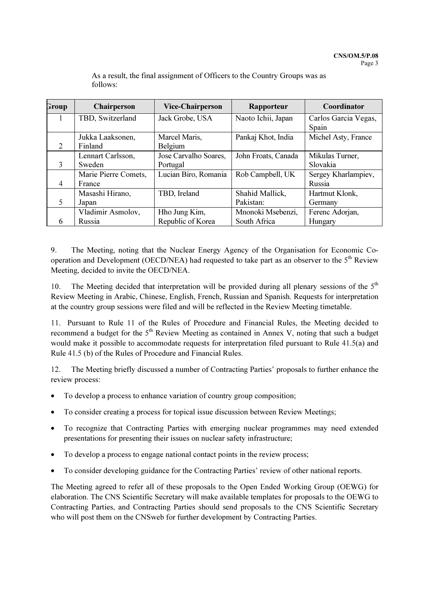| Group          | Chairperson          | <b>Vice-Chairperson</b> | Rapporteur          | Coordinator          |
|----------------|----------------------|-------------------------|---------------------|----------------------|
| 1              | TBD, Switzerland     | Jack Grobe, USA         | Naoto Ichii, Japan  | Carlos Garcia Vegas, |
|                |                      |                         |                     | Spain                |
|                | Jukka Laaksonen,     | Marcel Maris,           | Pankaj Khot, India  | Michel Asty, France  |
| 2              | Finland              | Belgium                 |                     |                      |
|                | Lennart Carlsson,    | Jose Carvalho Soares,   | John Froats, Canada | Mikulas Turner,      |
| 3              | Sweden               | Portugal                |                     | Slovakia             |
|                | Marie Pierre Comets, | Lucian Biro, Romania    | Rob Campbell, UK    | Sergey Kharlampiev,  |
| $\overline{4}$ | France               |                         |                     | Russia               |
|                | Masashi Hirano,      | TBD, Ireland            | Shahid Mallick,     | Hartmut Klonk,       |
| 5              | Japan                |                         | Pakistan:           | Germany              |
|                | Vladimir Asmolov,    | Hho Jung Kim,           | Mnonoki Msebenzi,   | Ferenc Adorjan,      |
| 6              | <b>Russia</b>        | Republic of Korea       | South Africa        | Hungary              |

As a result, the final assignment of Officers to the Country Groups was as follows:

9. The Meeting, noting that the Nuclear Energy Agency of the Organisation for Economic Cooperation and Development (OECD/NEA) had requested to take part as an observer to the 5<sup>th</sup> Review Meeting, decided to invite the OECD/NEA.

10. The Meeting decided that interpretation will be provided during all plenary sessions of the  $5<sup>th</sup>$ Review Meeting in Arabic, Chinese, English, French, Russian and Spanish. Requests for interpretation at the country group sessions were filed and will be reflected in the Review Meeting timetable.

11. Pursuant to Rule 11 of the Rules of Procedure and Financial Rules, the Meeting decided to recommend a budget for the  $5<sup>th</sup>$  Review Meeting as contained in Annex V, noting that such a budget would make it possible to accommodate requests for interpretation filed pursuant to Rule 41.5(a) and Rule 41.5 (b) of the Rules of Procedure and Financial Rules.

12. The Meeting briefly discussed a number of Contracting Parties' proposals to further enhance the review process:

- To develop a process to enhance variation of country group composition;
- To consider creating a process for topical issue discussion between Review Meetings;
- To recognize that Contracting Parties with emerging nuclear programmes may need extended presentations for presenting their issues on nuclear safety infrastructure;
- To develop a process to engage national contact points in the review process;
- To consider developing guidance for the Contracting Parties' review of other national reports.

The Meeting agreed to refer all of these proposals to the Open Ended Working Group (OEWG) for elaboration. The CNS Scientific Secretary will make available templates for proposals to the OEWG to Contracting Parties, and Contracting Parties should send proposals to the CNS Scientific Secretary who will post them on the CNSweb for further development by Contracting Parties.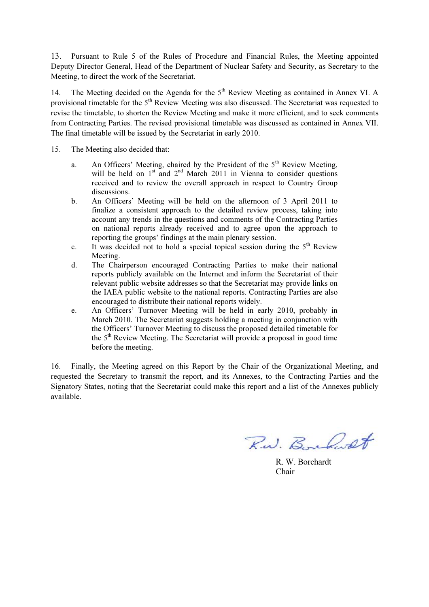13. Pursuant to Rule 5 of the Rules of Procedure and Financial Rules, the Meeting appointed Deputy Director General, Head of the Department of Nuclear Safety and Security, as Secretary to the Meeting, to direct the work of the Secretariat.

14. The Meeting decided on the Agenda for the  $5<sup>th</sup>$  Review Meeting as contained in Annex VI. A provisional timetable for the 5<sup>th</sup> Review Meeting was also discussed. The Secretariat was requested to revise the timetable, to shorten the Review Meeting and make it more efficient, and to seek comments from Contracting Parties. The revised provisional timetable was discussed as contained in Annex VII. The final timetable will be issued by the Secretariat in early 2010.

15. The Meeting also decided that:

- a. An Officers' Meeting, chaired by the President of the  $5<sup>th</sup>$  Review Meeting, will be held on  $1<sup>st</sup>$  and  $2<sup>nd</sup>$  March 2011 in Vienna to consider questions received and to review the overall approach in respect to Country Group discussions.
- b. An Officers' Meeting will be held on the afternoon of 3 April 2011 to finalize a consistent approach to the detailed review process, taking into account any trends in the questions and comments of the Contracting Parties on national reports already received and to agree upon the approach to reporting the groups' findings at the main plenary session.
- c. It was decided not to hold a special topical session during the  $5<sup>th</sup>$  Review Meeting.
- d. The Chairperson encouraged Contracting Parties to make their national reports publicly available on the Internet and inform the Secretariat of their relevant public website addresses so that the Secretariat may provide links on the IAEA public website to the national reports. Contracting Parties are also encouraged to distribute their national reports widely.
- e. An Officers' Turnover Meeting will be held in early 2010, probably in March 2010. The Secretariat suggests holding a meeting in conjunction with the Officers' Turnover Meeting to discuss the proposed detailed timetable for the  $5<sup>th</sup>$  Review Meeting. The Secretariat will provide a proposal in good time before the meeting.

16. Finally, the Meeting agreed on this Report by the Chair of the Organizational Meeting, and requested the Secretary to transmit the report, and its Annexes, to the Contracting Parties and the Signatory States, noting that the Secretariat could make this report and a list of the Annexes publicly available.

R.W. Boundaret

 R. W. Borchardt **Chair**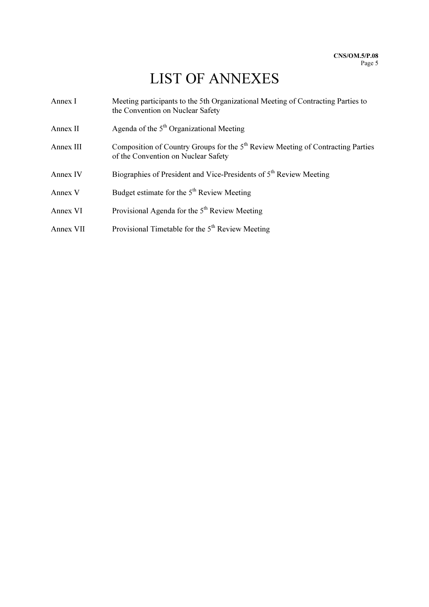# LIST OF ANNEXES

| Annex I   | Meeting participants to the 5th Organizational Meeting of Contracting Parties to<br>the Convention on Nuclear Safety               |
|-----------|------------------------------------------------------------------------------------------------------------------------------------|
| Annex II  | Agenda of the $5th$ Organizational Meeting                                                                                         |
| Annex III | Composition of Country Groups for the 5 <sup>th</sup> Review Meeting of Contracting Parties<br>of the Convention on Nuclear Safety |
| Annex IV  | Biographies of President and Vice-Presidents of 5 <sup>th</sup> Review Meeting                                                     |
| Annex V   | Budget estimate for the 5 <sup>th</sup> Review Meeting                                                                             |
| Annex VI  | Provisional Agenda for the 5 <sup>th</sup> Review Meeting                                                                          |
| Annex VII | Provisional Timetable for the 5 <sup>th</sup> Review Meeting                                                                       |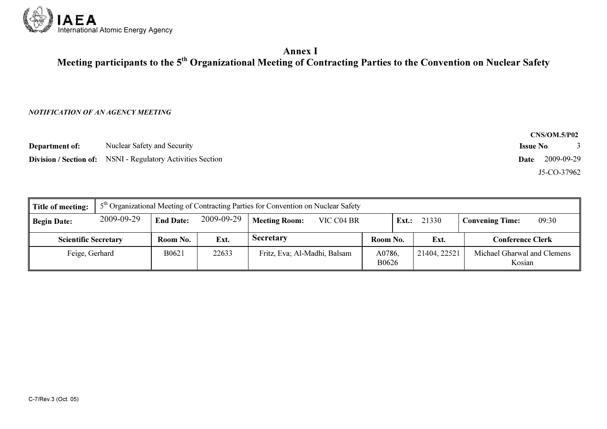

## Annex I Meeting participants to the  $5^{\rm th}$  Organizational Meeting of Contracting Parties to the Convention on Nuclear Safety

#### NOTIFICATION OF AN AGENCY MEETING

|                       |                                                                    | <b>CNS/OM.5/P02</b> |
|-----------------------|--------------------------------------------------------------------|---------------------|
| <b>Department of:</b> | Nuclear Safety and Security                                        | <b>Issue No</b>     |
|                       | <b>Division / Section of:</b> NSNI - Regulatory Activities Section | 2009-09-29<br>Date: |
|                       |                                                                    | J5-CO-37962         |

| Title of meeting:           |            | $5th$ Organizational Meeting of Contracting Parties for Convention on Nuclear Safety |            |                              |            |                 |       |              |                                       |       |
|-----------------------------|------------|--------------------------------------------------------------------------------------|------------|------------------------------|------------|-----------------|-------|--------------|---------------------------------------|-------|
| <b>Begin Date:</b>          | 2009-09-29 | <b>End Date:</b>                                                                     | 2009-09-29 | <b>Meeting Room:</b>         | VIC C04 BR |                 | Ext.: | 21330        | <b>Convening Time:</b>                | 09:30 |
| <b>Scientific Secretary</b> |            | Room No.                                                                             | Ext.       | <b>Secretary</b>             |            | Room No.        |       | Ext.         | <b>Conference Clerk</b>               |       |
| Feige, Gerhard              |            | B0621                                                                                | 22633      | Fritz, Eva; Al-Madhi, Balsam |            | A0786,<br>B0626 |       | 21404, 22521 | Michael Gharwal and Clemens<br>Kosian |       |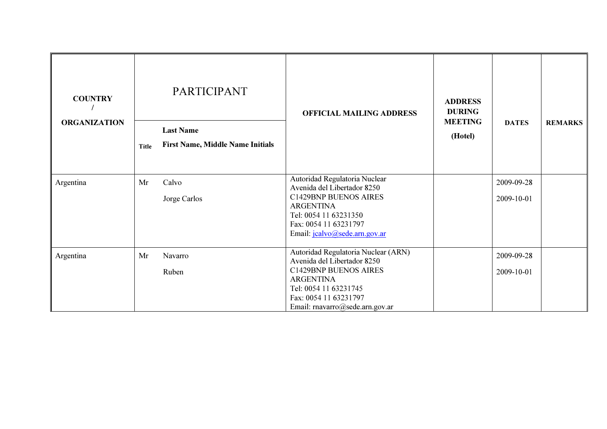| <b>COUNTRY</b><br><b>ORGANIZATION</b> | Title | <b>PARTICIPANT</b><br><b>Last Name</b><br><b>First Name, Middle Name Initials</b> | <b>OFFICIAL MAILING ADDRESS</b>                                                                                                                                                                             | <b>ADDRESS</b><br><b>DURING</b><br><b>MEETING</b><br>(Hotel) | <b>DATES</b>             | <b>REMARKS</b> |
|---------------------------------------|-------|-----------------------------------------------------------------------------------|-------------------------------------------------------------------------------------------------------------------------------------------------------------------------------------------------------------|--------------------------------------------------------------|--------------------------|----------------|
| Argentina                             | Mr    | Calvo<br>Jorge Carlos                                                             | Autoridad Regulatoria Nuclear<br>Avenida del Libertador 8250<br>C1429BNP BUENOS AIRES<br><b>ARGENTINA</b><br>Tel: 0054 11 63231350<br>Fax: 0054 11 63231797<br>Email: jcalvo@sede.arn.gov.ar                |                                                              | 2009-09-28<br>2009-10-01 |                |
| Argentina                             | Mr    | Navarro<br>Ruben                                                                  | Autoridad Regulatoria Nuclear (ARN)<br>Avenida del Libertador 8250<br><b>C1429BNP BUENOS AIRES</b><br><b>ARGENTINA</b><br>Tel: 0054 11 63231745<br>Fax: 0054 11 63231797<br>Email: rnavarro@sede.arn.gov.ar |                                                              | 2009-09-28<br>2009-10-01 |                |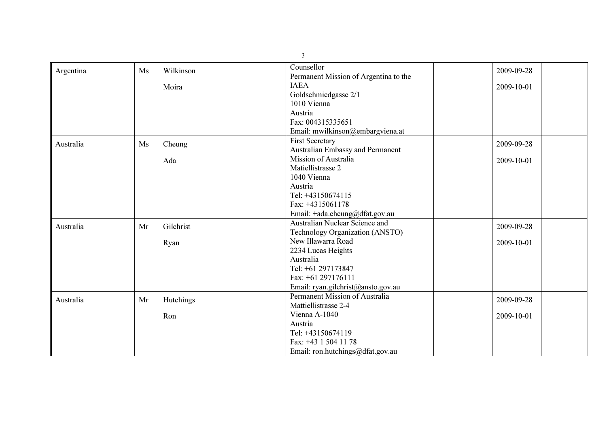|           |    |           | $\mathfrak{Z}$                        |            |
|-----------|----|-----------|---------------------------------------|------------|
| Argentina | Ms | Wilkinson | Counsellor                            | 2009-09-28 |
|           |    |           | Permanent Mission of Argentina to the |            |
|           |    | Moira     | <b>IAEA</b>                           | 2009-10-01 |
|           |    |           | Goldschmiedgasse 2/1                  |            |
|           |    |           | 1010 Vienna                           |            |
|           |    |           | Austria                               |            |
|           |    |           | Fax: 004315335651                     |            |
|           |    |           | Email: mwilkinson@embargviena.at      |            |
| Australia | Ms | Cheung    | <b>First Secretary</b>                | 2009-09-28 |
|           |    |           | Australian Embassy and Permanent      |            |
|           |    | Ada       | Mission of Australia                  | 2009-10-01 |
|           |    |           | Matiellistrasse 2                     |            |
|           |    |           | 1040 Vienna                           |            |
|           |    |           | Austria                               |            |
|           |    |           | Tel: +43150674115                     |            |
|           |    |           | Fax: +4315061178                      |            |
|           |    |           | Email: +ada.cheung@dfat.gov.au        |            |
| Australia | Mr | Gilchrist | Australian Nuclear Science and        | 2009-09-28 |
|           |    |           | Technology Organization (ANSTO)       |            |
|           |    | Ryan      | New Illawarra Road                    | 2009-10-01 |
|           |    |           | 2234 Lucas Heights                    |            |
|           |    |           | Australia                             |            |
|           |    |           | Tel: +61 297173847                    |            |
|           |    |           | Fax: +61 297176111                    |            |
|           |    |           | Email: ryan.gilchrist@ansto.gov.au    |            |
| Australia | Mr | Hutchings | Permanent Mission of Australia        | 2009-09-28 |
|           |    |           | Mattiellistrasse 2-4                  |            |
|           |    | Ron       | Vienna A-1040                         | 2009-10-01 |
|           |    |           | Austria                               |            |
|           |    |           | Tel: +43150674119                     |            |
|           |    |           | Fax: +43 1 504 11 78                  |            |
|           |    |           | Email: ron.hutchings@dfat.gov.au      |            |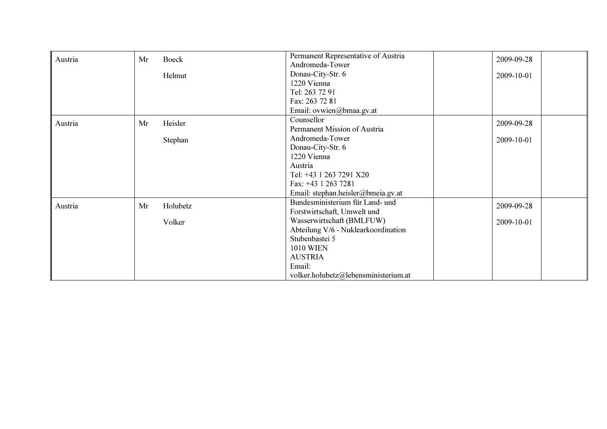| Austria | Mr | Boeck    | Permanent Representative of Austria  | 2009-09-28 |
|---------|----|----------|--------------------------------------|------------|
|         |    |          | Andromeda-Tower                      |            |
|         |    | Helmut   | Donau-City-Str. 6                    | 2009-10-01 |
|         |    |          | 1220 Vienna                          |            |
|         |    |          | Tel: 263 72 91                       |            |
|         |    |          | Fax: 263 72 81                       |            |
|         |    |          | Email: ovwien@bmaa.gv.at             |            |
| Austria | Mr | Heisler  | Counsellor                           | 2009-09-28 |
|         |    |          | Permanent Mission of Austria         |            |
|         |    | Stephan  | Andromeda-Tower                      | 2009-10-01 |
|         |    |          | Donau-City-Str. 6                    |            |
|         |    |          | 1220 Vienna                          |            |
|         |    |          | Austria                              |            |
|         |    |          | Tel: +43 1 263 7291 X20              |            |
|         |    |          | Fax: +43 1 263 7281                  |            |
|         |    |          | Email: stephan.heisler@bmeia.gv.at   |            |
| Austria | Mr | Holubetz | Bundesministerium für Land- und      | 2009-09-28 |
|         |    |          | Forstwirtschaft, Umwelt und          |            |
|         |    | Volker   | Wasserwirtschaft (BMLFUW)            | 2009-10-01 |
|         |    |          | Abteilung V/6 - Nuklearkoordination  |            |
|         |    |          | Stubenbastei 5                       |            |
|         |    |          | <b>1010 WIEN</b>                     |            |
|         |    |          | <b>AUSTRIA</b>                       |            |
|         |    |          | Email:                               |            |
|         |    |          | volker.holubetz@lebensministerium.at |            |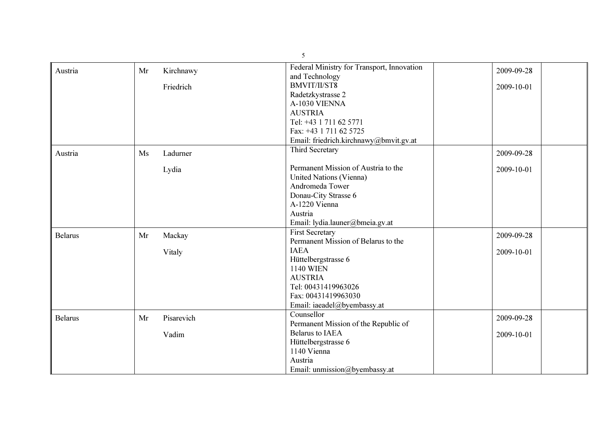|                | $\mathfrak{H}$   |                                            |            |  |  |
|----------------|------------------|--------------------------------------------|------------|--|--|
| Austria        | Mr<br>Kirchnawy  | Federal Ministry for Transport, Innovation | 2009-09-28 |  |  |
|                |                  | and Technology                             |            |  |  |
|                | Friedrich        | <b>BMVIT/II/ST8</b>                        | 2009-10-01 |  |  |
|                |                  | Radetzkystrasse 2                          |            |  |  |
|                |                  | A-1030 VIENNA                              |            |  |  |
|                |                  | <b>AUSTRIA</b>                             |            |  |  |
|                |                  | Tel: +43 1 711 62 5771                     |            |  |  |
|                |                  | Fax: +43 1 711 62 5725                     |            |  |  |
|                |                  | Email: friedrich.kirchnawy@bmvit.gv.at     |            |  |  |
| Austria        | Ladurner<br>Ms   | Third Secretary                            | 2009-09-28 |  |  |
|                | Lydia            | Permanent Mission of Austria to the        | 2009-10-01 |  |  |
|                |                  | United Nations (Vienna)                    |            |  |  |
|                |                  | Andromeda Tower                            |            |  |  |
|                |                  | Donau-City Strasse 6                       |            |  |  |
|                |                  | A-1220 Vienna                              |            |  |  |
|                |                  | Austria                                    |            |  |  |
|                |                  | Email: lydia.launer@bmeia.gv.at            |            |  |  |
| <b>Belarus</b> | Mackay<br>Mr     | <b>First Secretary</b>                     | 2009-09-28 |  |  |
|                |                  | Permanent Mission of Belarus to the        |            |  |  |
|                | Vitaly           | <b>IAEA</b>                                | 2009-10-01 |  |  |
|                |                  | Hüttelbergstrasse 6                        |            |  |  |
|                |                  | <b>1140 WIEN</b>                           |            |  |  |
|                |                  | <b>AUSTRIA</b>                             |            |  |  |
|                |                  | Tel: 00431419963026                        |            |  |  |
|                |                  | Fax: 00431419963030                        |            |  |  |
|                |                  | Email: iaeadel@byembassy.at                |            |  |  |
| <b>Belarus</b> | Pisarevich<br>Mr | Counsellor                                 | 2009-09-28 |  |  |
|                |                  | Permanent Mission of the Republic of       |            |  |  |
|                | Vadim            | <b>Belarus to IAEA</b>                     | 2009-10-01 |  |  |
|                |                  | Hüttelbergstrasse 6                        |            |  |  |
|                |                  | 1140 Vienna                                |            |  |  |
|                |                  | Austria                                    |            |  |  |
|                |                  | Email: unmission@byembassy.at              |            |  |  |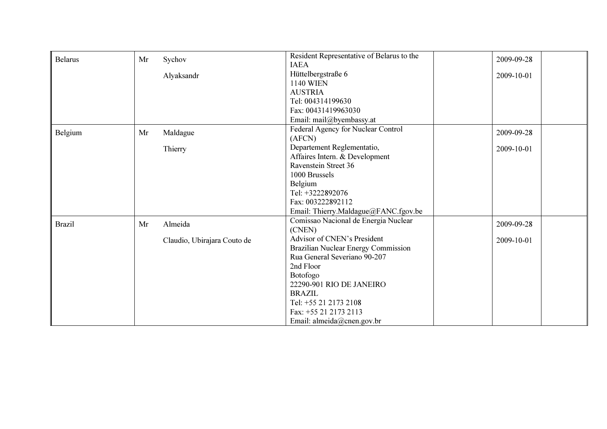| <b>Belarus</b> | Mr | Sychov                      | Resident Representative of Belarus to the | 2009-09-28 |
|----------------|----|-----------------------------|-------------------------------------------|------------|
|                |    |                             | <b>IAEA</b>                               |            |
|                |    | Alyaksandr                  | Hüttelbergstraße 6                        | 2009-10-01 |
|                |    |                             | <b>1140 WIEN</b>                          |            |
|                |    |                             | <b>AUSTRIA</b>                            |            |
|                |    |                             | Tel: 004314199630                         |            |
|                |    |                             | Fax: 00431419963030                       |            |
|                |    |                             | Email: mail@byembassy.at                  |            |
| Belgium        | Mr | Maldague                    | Federal Agency for Nuclear Control        | 2009-09-28 |
|                |    |                             | (AFCN)                                    |            |
|                |    | Thierry                     | Departement Reglementatio,                | 2009-10-01 |
|                |    |                             | Affaires Intern. & Development            |            |
|                |    |                             | Ravenstein Street 36                      |            |
|                |    |                             | 1000 Brussels                             |            |
|                |    |                             | Belgium                                   |            |
|                |    |                             | Tel: +3222892076                          |            |
|                |    |                             | Fax: 003222892112                         |            |
|                |    |                             | Email: Thierry.Maldague@FANC.fgov.be      |            |
| <b>Brazil</b>  | Mr | Almeida                     | Comissao Nacional de Energia Nuclear      | 2009-09-28 |
|                |    |                             | (CNEN)                                    |            |
|                |    | Claudio, Ubirajara Couto de | Advisor of CNEN's President               | 2009-10-01 |
|                |    |                             | Brazilian Nuclear Energy Commission       |            |
|                |    |                             | Rua General Severiano 90-207              |            |
|                |    |                             | 2nd Floor                                 |            |
|                |    |                             | <b>Botofogo</b>                           |            |
|                |    |                             | 22290-901 RIO DE JANEIRO                  |            |
|                |    |                             | <b>BRAZIL</b>                             |            |
|                |    |                             | Tel: +55 21 2173 2108                     |            |
|                |    |                             | Fax: +55 21 2173 2113                     |            |
|                |    |                             | Email: almeida@cnen.gov.br                |            |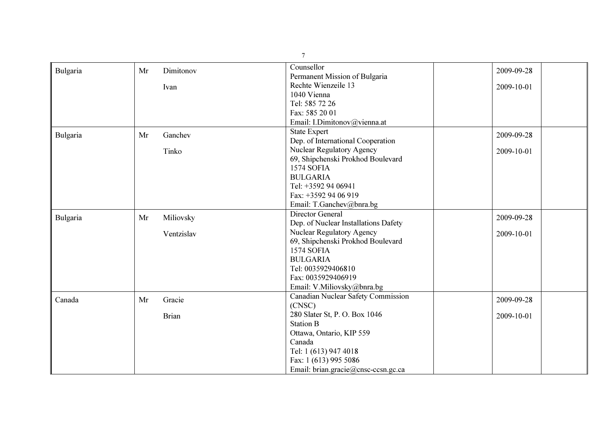|          |    |              | $\overline{7}$                       |            |
|----------|----|--------------|--------------------------------------|------------|
| Bulgaria | Mr | Dimitonov    | Counsellor                           | 2009-09-28 |
|          |    |              | Permanent Mission of Bulgaria        |            |
|          |    | Ivan         | Rechte Wienzeile 13                  | 2009-10-01 |
|          |    |              | 1040 Vienna                          |            |
|          |    |              | Tel: 585 72 26                       |            |
|          |    |              | Fax: 585 20 01                       |            |
|          |    |              | Email: I.Dimitonov@vienna.at         |            |
| Bulgaria | Mr | Ganchev      | <b>State Expert</b>                  | 2009-09-28 |
|          |    |              | Dep. of International Cooperation    |            |
|          |    | Tinko        | Nuclear Regulatory Agency            | 2009-10-01 |
|          |    |              | 69, Shipchenski Prokhod Boulevard    |            |
|          |    |              | <b>1574 SOFIA</b>                    |            |
|          |    |              | <b>BULGARIA</b>                      |            |
|          |    |              | Tel: +3592 94 06941                  |            |
|          |    |              | Fax: +3592 94 06 919                 |            |
|          |    |              | Email: T.Ganchev@bnra.bg             |            |
| Bulgaria | Mr | Miliovsky    | Director General                     | 2009-09-28 |
|          |    |              | Dep. of Nuclear Installations Dafety |            |
|          |    | Ventzislav   | <b>Nuclear Regulatory Agency</b>     | 2009-10-01 |
|          |    |              | 69, Shipchenski Prokhod Boulevard    |            |
|          |    |              | <b>1574 SOFIA</b>                    |            |
|          |    |              | <b>BULGARIA</b>                      |            |
|          |    |              | Tel: 0035929406810                   |            |
|          |    |              | Fax: 0035929406919                   |            |
|          |    |              | Email: V.Miliovsky@bnra.bg           |            |
| Canada   | Mr | Gracie       | Canadian Nuclear Safety Commission   | 2009-09-28 |
|          |    |              | (CNSC)                               |            |
|          |    | <b>Brian</b> | 280 Slater St, P. O. Box 1046        | 2009-10-01 |
|          |    |              | <b>Station B</b>                     |            |
|          |    |              | Ottawa, Ontario, KIP 559             |            |
|          |    |              | Canada                               |            |
|          |    |              | Tel: 1 (613) 947 4018                |            |
|          |    |              | Fax: 1 (613) 995 5086                |            |
|          |    |              | Email: brian.gracie@cnsc-ccsn.gc.ca  |            |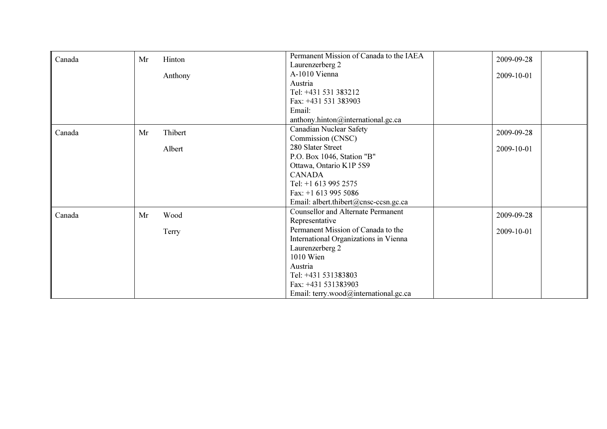| Canada | Mr | Hinton  | Permanent Mission of Canada to the IAEA   | 2009-09-28 |
|--------|----|---------|-------------------------------------------|------------|
|        |    |         | Laurenzerberg 2                           |            |
|        |    | Anthony | A-1010 Vienna                             | 2009-10-01 |
|        |    |         | Austria                                   |            |
|        |    |         | Tel: +431 531 383212                      |            |
|        |    |         | Fax: +431 531 383903                      |            |
|        |    |         | Email:                                    |            |
|        |    |         | anthony.hinton@international.gc.ca        |            |
| Canada | Mr | Thibert | <b>Canadian Nuclear Safety</b>            | 2009-09-28 |
|        |    |         | Commission (CNSC)                         |            |
|        |    | Albert  | 280 Slater Street                         | 2009-10-01 |
|        |    |         | P.O. Box 1046, Station "B"                |            |
|        |    |         | Ottawa, Ontario K1P 5S9                   |            |
|        |    |         | <b>CANADA</b>                             |            |
|        |    |         | Tel: $+1$ 613 995 2575                    |            |
|        |    |         | Fax: $+1$ 613 995 5086                    |            |
|        |    |         | Email: albert.thibert@cnsc-ccsn.gc.ca     |            |
| Canada | Mr | Wood    | <b>Counsellor and Alternate Permanent</b> | 2009-09-28 |
|        |    |         | Representative                            |            |
|        |    | Terry   | Permanent Mission of Canada to the        | 2009-10-01 |
|        |    |         | International Organizations in Vienna     |            |
|        |    |         | Laurenzerberg 2                           |            |
|        |    |         | 1010 Wien                                 |            |
|        |    |         | Austria                                   |            |
|        |    |         | Tel: +431 531383803                       |            |
|        |    |         | Fax: +431 531383903                       |            |
|        |    |         | Email: terry.wood@international.gc.ca     |            |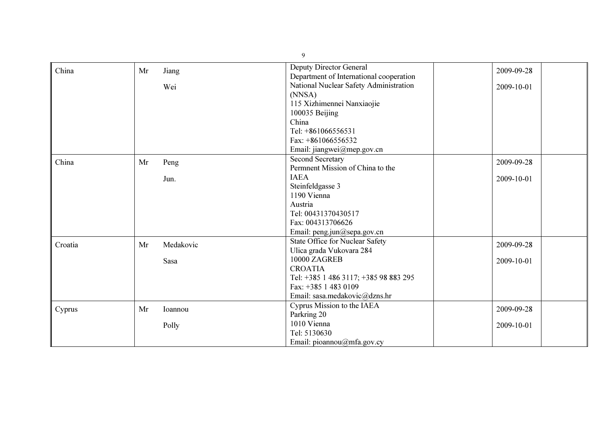| China   | Mr | Jiang     | Deputy Director General                 | 2009-09-28 |
|---------|----|-----------|-----------------------------------------|------------|
|         |    |           | Department of International cooperation |            |
|         |    | Wei       | National Nuclear Safety Administration  | 2009-10-01 |
|         |    |           | (NNSA)                                  |            |
|         |    |           | 115 Xizhimennei Nanxiaojie              |            |
|         |    |           | 100035 Beijing                          |            |
|         |    |           | China                                   |            |
|         |    |           | Tel: +861066556531                      |            |
|         |    |           | Fax: $+861066556532$                    |            |
|         |    |           | Email: jiangwei@mep.gov.cn              |            |
| China   | Mr | Peng      | <b>Second Secretary</b>                 | 2009-09-28 |
|         |    |           | Permnent Mission of China to the        |            |
|         |    | Jun.      | <b>IAEA</b>                             | 2009-10-01 |
|         |    |           | Steinfeldgasse 3                        |            |
|         |    |           | 1190 Vienna                             |            |
|         |    |           | Austria                                 |            |
|         |    |           | Tel: 00431370430517                     |            |
|         |    |           | Fax: 004313706626                       |            |
|         |    |           | Email: peng.jun@sepa.gov.cn             |            |
| Croatia | Mr | Medakovic | State Office for Nuclear Safety         | 2009-09-28 |
|         |    |           | Ulica grada Vukovara 284                |            |
|         |    | Sasa      | 10000 ZAGREB                            | 2009-10-01 |
|         |    |           | <b>CROATIA</b>                          |            |
|         |    |           | Tel: +385 1 486 3117; +385 98 883 295   |            |
|         |    |           | Fax: +385 1 483 0109                    |            |
|         |    |           | Email: sasa.medakovic@dzns.hr           |            |
|         | Mr | Ioannou   | Cyprus Mission to the IAEA              | 2009-09-28 |
| Cyprus  |    |           | Parkring 20                             |            |
|         |    | Polly     | 1010 Vienna                             | 2009-10-01 |
|         |    |           | Tel: 5130630                            |            |
|         |    |           | Email: pioannou@mfa.gov.cy              |            |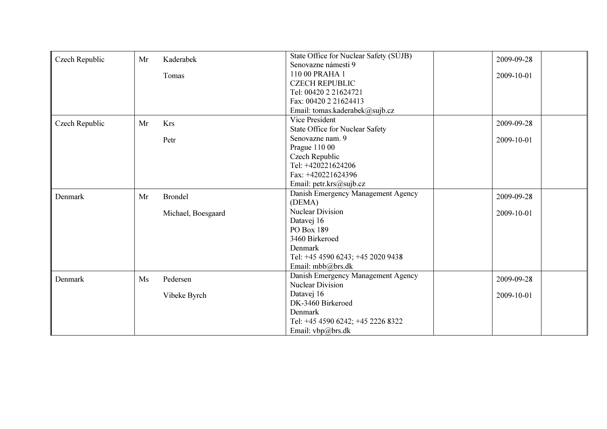| Czech Republic | Mr | Kaderabek          | State Office for Nuclear Safety (SÚJB) | 2009-09-28 |  |
|----------------|----|--------------------|----------------------------------------|------------|--|
|                |    |                    | Senovazne námesti 9                    |            |  |
|                |    | Tomas              | 110 00 PRAHA 1                         | 2009-10-01 |  |
|                |    |                    | <b>CZECH REPUBLIC</b>                  |            |  |
|                |    |                    | Tel: 00420 2 21624721                  |            |  |
|                |    |                    | Fax: 00420 2 21624413                  |            |  |
|                |    |                    | Email: tomas.kaderabek@sujb.cz         |            |  |
| Czech Republic | Mr | Krs                | Vice President                         | 2009-09-28 |  |
|                |    |                    | <b>State Office for Nuclear Safety</b> |            |  |
|                |    | Petr               | Senovazne nam. 9                       | 2009-10-01 |  |
|                |    |                    | Prague 110 00                          |            |  |
|                |    |                    | Czech Republic                         |            |  |
|                |    |                    | Tel: +420221624206                     |            |  |
|                |    |                    | Fax: +420221624396                     |            |  |
|                |    |                    | Email: petr.krs@sujb.cz                |            |  |
| Denmark        | Mr | <b>Brondel</b>     | Danish Emergency Management Agency     | 2009-09-28 |  |
|                |    |                    | (DEMA)                                 |            |  |
|                |    | Michael, Boesgaard | <b>Nuclear Division</b>                | 2009-10-01 |  |
|                |    |                    | Datavej 16                             |            |  |
|                |    |                    | PO Box 189                             |            |  |
|                |    |                    | 3460 Birkeroed                         |            |  |
|                |    |                    | Denmark                                |            |  |
|                |    |                    | Tel: +45 4590 6243; +45 2020 9438      |            |  |
|                |    |                    | Email: mbb@brs.dk                      |            |  |
| Denmark        | Ms | Pedersen           | Danish Emergency Management Agency     | 2009-09-28 |  |
|                |    |                    | <b>Nuclear Division</b>                |            |  |
|                |    | Vibeke Byrch       | Datavej 16                             | 2009-10-01 |  |
|                |    |                    | DK-3460 Birkeroed                      |            |  |
|                |    |                    | Denmark                                |            |  |
|                |    |                    | Tel: +45 4590 6242; +45 2226 8322      |            |  |
|                |    |                    | Email: $vbp@brs.dk$                    |            |  |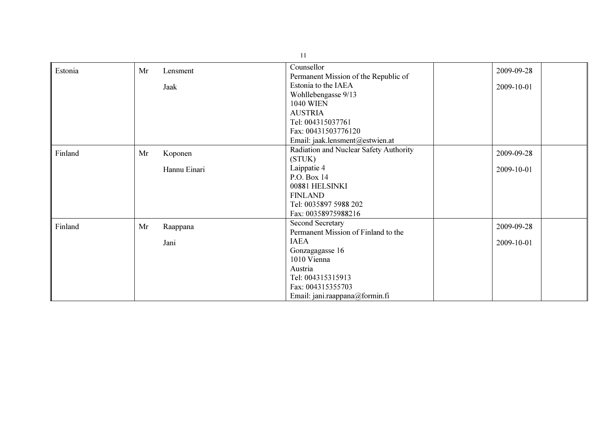|         | 11 |              |                                                    |            |  |
|---------|----|--------------|----------------------------------------------------|------------|--|
| Estonia | Mr | Lensment     | Counsellor<br>Permanent Mission of the Republic of | 2009-09-28 |  |
|         |    | Jaak         | Estonia to the IAEA                                | 2009-10-01 |  |
|         |    |              | Wohllebengasse 9/13                                |            |  |
|         |    |              | <b>1040 WIEN</b>                                   |            |  |
|         |    |              | <b>AUSTRIA</b><br>Tel: 004315037761                |            |  |
|         |    |              | Fax: 00431503776120                                |            |  |
|         |    |              | Email: jaak.lensment@estwien.at                    |            |  |
|         |    |              | Radiation and Nuclear Safety Authority             |            |  |
| Finland | Mr | Koponen      | (STUK)                                             | 2009-09-28 |  |
|         |    | Hannu Einari | Laippatie 4                                        | 2009-10-01 |  |
|         |    |              | P.O. Box 14                                        |            |  |
|         |    |              | 00881 HELSINKI                                     |            |  |
|         |    |              | <b>FINLAND</b>                                     |            |  |
|         |    |              | Tel: 0035897 5988 202                              |            |  |
|         |    |              | Fax: 00358975988216                                |            |  |
| Finland | Mr | Raappana     | <b>Second Secretary</b>                            | 2009-09-28 |  |
|         |    |              | Permanent Mission of Finland to the                |            |  |
|         |    | Jani         | <b>IAEA</b>                                        | 2009-10-01 |  |
|         |    |              | Gonzagagasse 16                                    |            |  |
|         |    |              | 1010 Vienna                                        |            |  |
|         |    |              | Austria                                            |            |  |
|         |    |              | Tel: 004315315913<br>Fax: 004315355703             |            |  |
|         |    |              | Email: jani.raappana@formin.fi                     |            |  |
|         |    |              |                                                    |            |  |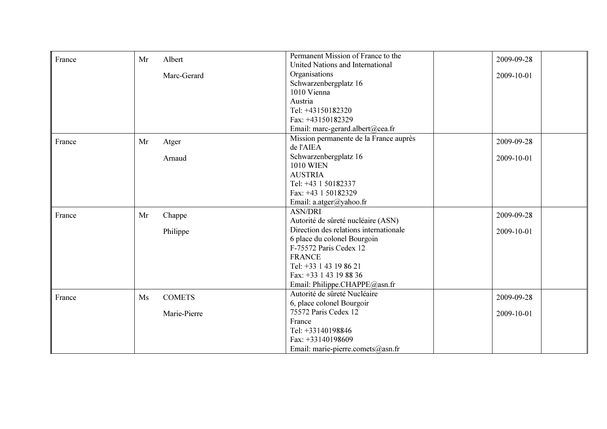| France | Mr | Albert        | Permanent Mission of France to the     | 2009-09-28 |
|--------|----|---------------|----------------------------------------|------------|
|        |    |               | United Nations and International       |            |
|        |    | Marc-Gerard   | Organisations                          | 2009-10-01 |
|        |    |               | Schwarzenbergplatz 16                  |            |
|        |    |               | 1010 Vienna                            |            |
|        |    |               | Austria                                |            |
|        |    |               | Tel: +43150182320                      |            |
|        |    |               | Fax: +43150182329                      |            |
|        |    |               | Email: marc-gerard.albert@cea.fr       |            |
| France | Mr | Atger         | Mission permanente de la France auprès | 2009-09-28 |
|        |    |               | de l'AIEA                              |            |
|        |    | Arnaud        | Schwarzenbergplatz 16                  | 2009-10-01 |
|        |    |               | <b>1010 WIEN</b>                       |            |
|        |    |               | <b>AUSTRIA</b>                         |            |
|        |    |               | Tel: +43 1 50182337                    |            |
|        |    |               | Fax: +43 1 50182329                    |            |
|        |    |               | Email: a.atger@yahoo.fr                |            |
| France | Mr | Chappe        | <b>ASN/DRI</b>                         | 2009-09-28 |
|        |    |               | Autorité de sûreté nucléaire (ASN)     |            |
|        |    | Philippe      | Direction des relations internationale | 2009-10-01 |
|        |    |               | 6 place du colonel Bourgoin            |            |
|        |    |               | F-75572 Paris Cedex 12                 |            |
|        |    |               | <b>FRANCE</b>                          |            |
|        |    |               | Tel: +33 1 43 19 86 21                 |            |
|        |    |               | Fax: +33 1 43 19 88 36                 |            |
|        |    |               | Email: Philippe.CHAPPE@asn.fr          |            |
| France | Ms | <b>COMETS</b> | Autorité de sûreté Nucléaire           | 2009-09-28 |
|        |    |               | 6, place colonel Bourgoir              |            |
|        |    | Marie-Pierre  | 75572 Paris Cedex 12                   | 2009-10-01 |
|        |    |               | France                                 |            |
|        |    |               | Tel: +33140198846                      |            |
|        |    |               | Fax: $+33140198609$                    |            |
|        |    |               | Email: marie-pierre.comets@asn.fr      |            |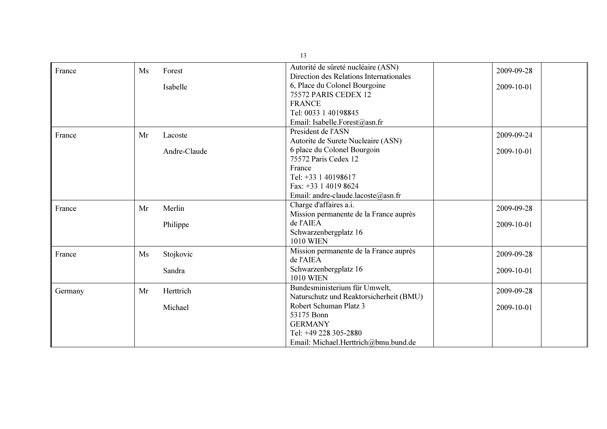|         |    |              | 13                                      |            |
|---------|----|--------------|-----------------------------------------|------------|
| France  | Ms | Forest       | Autorité de sûreté nucléaire (ASN)      | 2009-09-28 |
|         |    |              | Direction des Relations Internationales |            |
|         |    | Isabelle     | 6, Place du Colonel Bourgoine           | 2009-10-01 |
|         |    |              | 75572 PARIS CEDEX 12                    |            |
|         |    |              | <b>FRANCE</b>                           |            |
|         |    |              | Tel: 0033 1 40198845                    |            |
|         |    |              | Email: Isabelle.Forest@asn.fr           |            |
| France  | Mr | Lacoste      | President de l'ASN                      | 2009-09-24 |
|         |    |              | Autorite de Surete Nucleaire (ASN)      |            |
|         |    | Andre-Claude | 6 place du Colonel Bourgoin             | 2009-10-01 |
|         |    |              | 75572 Paris Cedex 12                    |            |
|         |    |              | France                                  |            |
|         |    |              | Tel: +33 1 40198617                     |            |
|         |    |              | Fax: +33 1 4019 8624                    |            |
|         |    |              | Email: andre-claude.lacoste@asn.fr      |            |
| France  | Mr | Merlin       | Charge d'affaires a.i.                  | 2009-09-28 |
|         |    |              | Mission permanente de la France auprès  |            |
|         |    | Philippe     | de l'AIEA                               | 2009-10-01 |
|         |    |              | Schwarzenbergplatz 16                   |            |
|         |    |              | <b>1010 WIEN</b>                        |            |
| France  | Ms | Stojkovic    | Mission permanente de la France auprès  | 2009-09-28 |
|         |    |              | de l'AIEA                               |            |
|         |    | Sandra       | Schwarzenbergplatz 16                   | 2009-10-01 |
|         |    |              | <b>1010 WIEN</b>                        |            |
| Germany | Mr | Herttrich    | Bundesministerium für Umwelt,           | 2009-09-28 |
|         |    |              | Naturschutz und Reaktorsicherheit (BMU) |            |
|         |    | Michael      | Robert Schuman Platz 3                  | 2009-10-01 |
|         |    |              | 53175 Bonn                              |            |
|         |    |              | <b>GERMANY</b>                          |            |
|         |    |              | Tel: +49 228 305-2880                   |            |
|         |    |              | Email: Michael.Herttrich@bmu.bund.de    |            |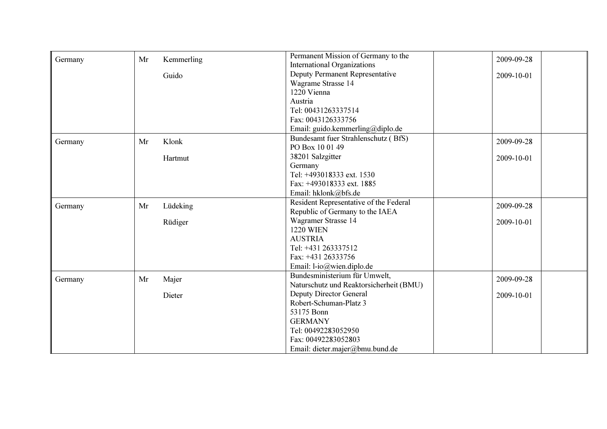| Germany | Mr | Kemmerling | Permanent Mission of Germany to the     | 2009-09-28 |
|---------|----|------------|-----------------------------------------|------------|
|         |    |            | <b>International Organizations</b>      |            |
|         |    | Guido      | Deputy Permanent Representative         | 2009-10-01 |
|         |    |            | Wagrame Strasse 14                      |            |
|         |    |            | 1220 Vienna                             |            |
|         |    |            | Austria                                 |            |
|         |    |            | Tel: 00431263337514                     |            |
|         |    |            | Fax: 0043126333756                      |            |
|         |    |            | Email: guido.kemmerling@diplo.de        |            |
| Germany | Mr | Klonk      | Bundesamt fuer Strahlenschutz (BfS)     | 2009-09-28 |
|         |    |            | PO Box 10 01 49                         |            |
|         |    | Hartmut    | 38201 Salzgitter                        | 2009-10-01 |
|         |    |            | Germany                                 |            |
|         |    |            | Tel: +493018333 ext. 1530               |            |
|         |    |            | Fax: +493018333 ext. 1885               |            |
|         |    |            | Email: hklonk@bfs.de                    |            |
| Germany | Mr | Lüdeking   | Resident Representative of the Federal  | 2009-09-28 |
|         |    |            | Republic of Germany to the IAEA         |            |
|         |    | Rüdiger    | Wagramer Strasse 14                     | 2009-10-01 |
|         |    |            | <b>1220 WIEN</b>                        |            |
|         |    |            | <b>AUSTRIA</b>                          |            |
|         |    |            | Tel: +431 263337512                     |            |
|         |    |            | Fax: +431 26333756                      |            |
|         |    |            | Email: l-io@wien.diplo.de               |            |
| Germany | Mr | Majer      | Bundesministerium für Umwelt,           | 2009-09-28 |
|         |    |            | Naturschutz und Reaktorsicherheit (BMU) |            |
|         |    | Dieter     | <b>Deputy Director General</b>          | 2009-10-01 |
|         |    |            | Robert-Schuman-Platz 3                  |            |
|         |    |            | 53175 Bonn                              |            |
|         |    |            | <b>GERMANY</b>                          |            |
|         |    |            | Tel: 00492283052950                     |            |
|         |    |            | Fax: 00492283052803                     |            |
|         |    |            | Email: dieter.majer@bmu.bund.de         |            |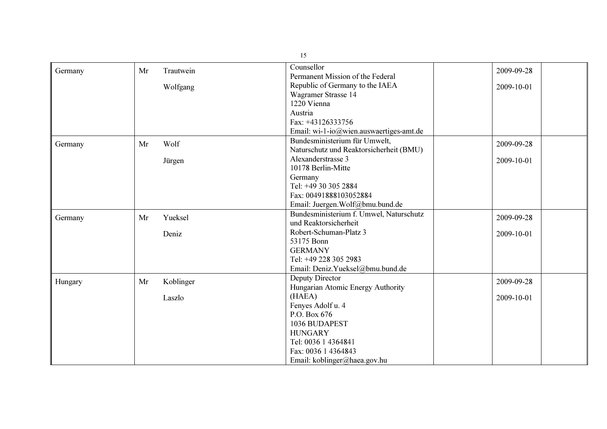|         |    |           | 15                                      |            |
|---------|----|-----------|-----------------------------------------|------------|
| Germany | Mr | Trautwein | Counsellor                              | 2009-09-28 |
|         |    |           | Permanent Mission of the Federal        |            |
|         |    | Wolfgang  | Republic of Germany to the IAEA         | 2009-10-01 |
|         |    |           | Wagramer Strasse 14                     |            |
|         |    |           | 1220 Vienna                             |            |
|         |    |           | Austria                                 |            |
|         |    |           | Fax: +43126333756                       |            |
|         |    |           | Email: wi-1-io@wien.auswaertiges-amt.de |            |
| Germany | Mr | Wolf      | Bundesministerium für Umwelt,           | 2009-09-28 |
|         |    |           | Naturschutz und Reaktorsicherheit (BMU) |            |
|         |    | Jürgen    | Alexanderstrasse 3                      | 2009-10-01 |
|         |    |           | 10178 Berlin-Mitte                      |            |
|         |    |           | Germany                                 |            |
|         |    |           | Tel: +49 30 305 2884                    |            |
|         |    |           | Fax: 00491888103052884                  |            |
|         |    |           | Email: Juergen.Wolf@bmu.bund.de         |            |
| Germany | Mr | Yueksel   | Bundesministerium f. Umwel, Naturschutz | 2009-09-28 |
|         |    |           | und Reaktorsicherheit                   |            |
|         |    | Deniz     | Robert-Schuman-Platz 3                  | 2009-10-01 |
|         |    |           | 53175 Bonn                              |            |
|         |    |           | <b>GERMANY</b>                          |            |
|         |    |           | Tel: +49 228 305 2983                   |            |
|         |    |           | Email: Deniz.Yueksel@bmu.bund.de        |            |
| Hungary | Mr | Koblinger | Deputy Director                         | 2009-09-28 |
|         |    |           | Hungarian Atomic Energy Authority       |            |
|         |    | Laszlo    | (HAEA)                                  | 2009-10-01 |
|         |    |           | Fenyes Adolf u. 4                       |            |
|         |    |           | P.O. Box 676                            |            |
|         |    |           | 1036 BUDAPEST                           |            |
|         |    |           | <b>HUNGARY</b>                          |            |
|         |    |           | Tel: 0036 1 4364841                     |            |
|         |    |           | Fax: 0036 1 4364843                     |            |
|         |    |           | Email: koblinger@haea.gov.hu            |            |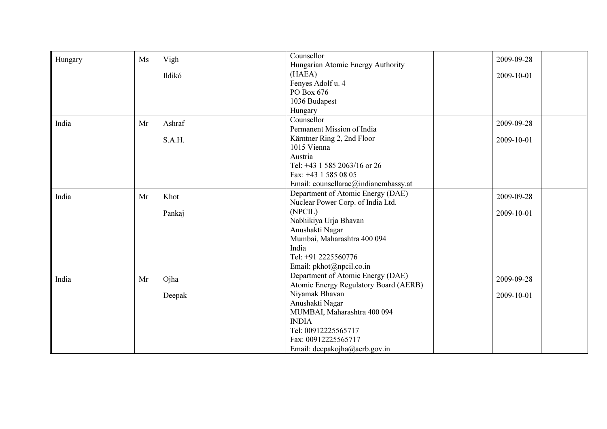| Hungary | Vigh<br>Ms   | Counsellor                            | 2009-09-28 |
|---------|--------------|---------------------------------------|------------|
|         |              | Hungarian Atomic Energy Authority     |            |
|         | Ildikó       | (HAEA)                                | 2009-10-01 |
|         |              | Fenyes Adolf u. 4                     |            |
|         |              | PO Box 676                            |            |
|         |              | 1036 Budapest                         |            |
|         |              | Hungary                               |            |
| India   | Ashraf<br>Mr | Counsellor                            | 2009-09-28 |
|         |              | Permanent Mission of India            |            |
|         | S.A.H.       | Kärntner Ring 2, 2nd Floor            | 2009-10-01 |
|         |              | 1015 Vienna                           |            |
|         |              | Austria                               |            |
|         |              | Tel: +43 1 585 2063/16 or 26          |            |
|         |              | Fax: +43 1 585 08 05                  |            |
|         |              | Email: counsellarae@indianembassy.at  |            |
| India   | Khot<br>Mr   | Department of Atomic Energy (DAE)     | 2009-09-28 |
|         |              | Nuclear Power Corp. of India Ltd.     |            |
|         | Pankaj       | (NPCIL)                               | 2009-10-01 |
|         |              | Nabhikiya Urja Bhavan                 |            |
|         |              | Anushakti Nagar                       |            |
|         |              | Mumbai, Maharashtra 400 094           |            |
|         |              | India                                 |            |
|         |              | Tel: +91 2225560776                   |            |
|         |              | Email: pkhot@npcil.co.in              |            |
| India   | Ojha<br>Mr   | Department of Atomic Energy (DAE)     | 2009-09-28 |
|         |              | Atomic Energy Regulatory Board (AERB) |            |
|         | Deepak       | Niyamak Bhavan                        | 2009-10-01 |
|         |              | Anushakti Nagar                       |            |
|         |              | MUMBAI, Maharashtra 400 094           |            |
|         |              | <b>INDIA</b>                          |            |
|         |              | Tel: 00912225565717                   |            |
|         |              | Fax: 00912225565717                   |            |
|         |              | Email: deepakojha@aerb.gov.in         |            |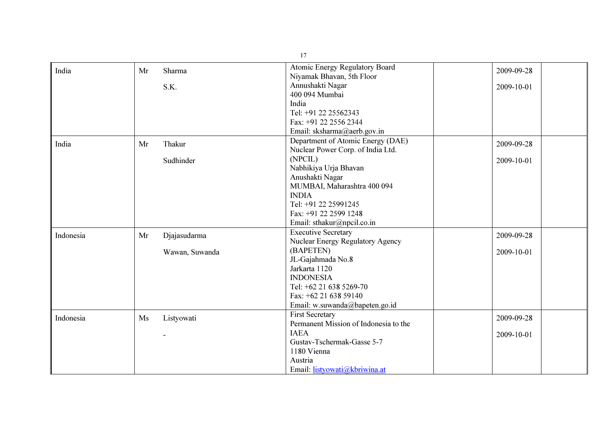|           |    |                | 17                                    |            |
|-----------|----|----------------|---------------------------------------|------------|
| India     | Mr | Sharma         | Atomic Energy Regulatory Board        | 2009-09-28 |
|           |    |                | Niyamak Bhavan, 5th Floor             |            |
|           |    | S.K.           | Annushakti Nagar                      | 2009-10-01 |
|           |    |                | 400 094 Mumbai                        |            |
|           |    |                | India                                 |            |
|           |    |                | Tel: +91 22 25562343                  |            |
|           |    |                | Fax: +91 22 2556 2344                 |            |
|           |    |                | Email: sksharma@aerb.gov.in           |            |
| India     | Mr | Thakur         | Department of Atomic Energy (DAE)     | 2009-09-28 |
|           |    |                | Nuclear Power Corp. of India Ltd.     |            |
|           |    | Sudhinder      | (NPCIL)                               | 2009-10-01 |
|           |    |                | Nabhikiya Urja Bhavan                 |            |
|           |    |                | Anushakti Nagar                       |            |
|           |    |                | MUMBAI, Maharashtra 400 094           |            |
|           |    |                | <b>INDIA</b>                          |            |
|           |    |                | Tel: +91 22 25991245                  |            |
|           |    |                | Fax: +91 22 2599 1248                 |            |
|           |    |                | Email: sthakur@npcil.co.in            |            |
| Indonesia | Mr | Djajasudarma   | <b>Executive Secretary</b>            | 2009-09-28 |
|           |    |                | Nuclear Energy Regulatory Agency      |            |
|           |    | Wawan, Suwanda | (BAPETEN)                             | 2009-10-01 |
|           |    |                | JL-Gajahmada No.8                     |            |
|           |    |                | Jarkarta 1120                         |            |
|           |    |                | <b>INDONESIA</b>                      |            |
|           |    |                | Tel: +62 21 638 5269-70               |            |
|           |    |                | Fax: +62 21 638 59140                 |            |
|           |    |                | Email: w.suwanda@bapeten.go.id        |            |
| Indonesia | Ms | Listyowati     | <b>First Secretary</b>                | 2009-09-28 |
|           |    |                | Permanent Mission of Indonesia to the |            |
|           |    |                | <b>IAEA</b>                           | 2009-10-01 |
|           |    |                | Gustav-Tschermak-Gasse 5-7            |            |
|           |    |                | 1180 Vienna                           |            |
|           |    |                | Austria                               |            |
|           |    |                | Email: listyowati@kbriwina.at         |            |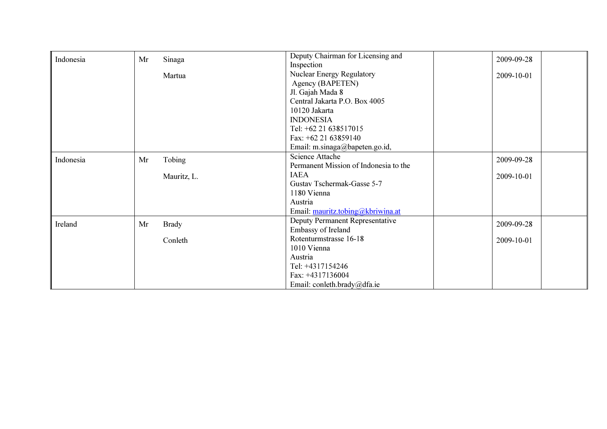| Indonesia | Mr | Sinaga       | Deputy Chairman for Licensing and     | 2009-09-28 |
|-----------|----|--------------|---------------------------------------|------------|
|           |    |              | Inspection                            |            |
|           |    | Martua       | <b>Nuclear Energy Regulatory</b>      | 2009-10-01 |
|           |    |              | Agency (BAPETEN)                      |            |
|           |    |              | Jl. Gajah Mada 8                      |            |
|           |    |              | Central Jakarta P.O. Box 4005         |            |
|           |    |              | 10120 Jakarta                         |            |
|           |    |              | <b>INDONESIA</b>                      |            |
|           |    |              | Tel: +62 21 638517015                 |            |
|           |    |              | Fax: $+62$ 21 63859140                |            |
|           |    |              | Email: m.sinaga@bapeten.go.id,        |            |
| Indonesia | Mr | Tobing       | <b>Science Attache</b>                | 2009-09-28 |
|           |    |              | Permanent Mission of Indonesia to the |            |
|           |    | Mauritz, L.  | <b>IAEA</b>                           | 2009-10-01 |
|           |    |              | Gustav Tschermak-Gasse 5-7            |            |
|           |    |              | 1180 Vienna                           |            |
|           |    |              | Austria                               |            |
|           |    |              | Email: mauritz.tobing@kbriwina.at     |            |
| Ireland   | Mr | <b>Brady</b> | Deputy Permanent Representative       | 2009-09-28 |
|           |    |              | Embassy of Ireland                    |            |
|           |    | Conleth      | Rotenturmstrasse 16-18                | 2009-10-01 |
|           |    |              | 1010 Vienna                           |            |
|           |    |              | Austria                               |            |
|           |    |              | Tel: +4317154246                      |            |
|           |    |              | Fax: +4317136004                      |            |
|           |    |              | Email: conleth.brady@dfa.ie           |            |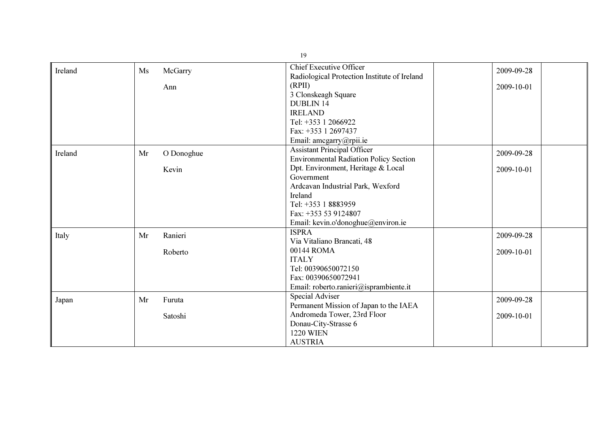| Ireland | Ms | McGarry    | <b>Chief Executive Officer</b>                | 2009-09-28 |
|---------|----|------------|-----------------------------------------------|------------|
|         |    |            | Radiological Protection Institute of Ireland  |            |
|         |    | Ann        | (RPII)                                        | 2009-10-01 |
|         |    |            | 3 Clonskeagh Square                           |            |
|         |    |            | <b>DUBLIN 14</b>                              |            |
|         |    |            | <b>IRELAND</b>                                |            |
|         |    |            | Tel: +353 1 2066922                           |            |
|         |    |            | Fax: +353 1 2697437                           |            |
|         |    |            | Email: amcgarry@rpii.ie                       |            |
| Ireland | Mr | O Donoghue | <b>Assistant Principal Officer</b>            | 2009-09-28 |
|         |    |            | <b>Environmental Radiation Policy Section</b> |            |
|         |    | Kevin      | Dpt. Environment, Heritage & Local            | 2009-10-01 |
|         |    |            | Government                                    |            |
|         |    |            | Ardcavan Industrial Park, Wexford             |            |
|         |    |            | Ireland                                       |            |
|         |    |            | Tel: +353 1 8883959                           |            |
|         |    |            | Fax: +353 53 9124807                          |            |
|         |    |            | Email: kevin.o'donoghue@environ.ie            |            |
| Italy   | Mr | Ranieri    | <b>ISPRA</b>                                  | 2009-09-28 |
|         |    |            | Via Vitaliano Brancati, 48                    |            |
|         |    | Roberto    | 00144 ROMA                                    | 2009-10-01 |
|         |    |            | <b>ITALY</b>                                  |            |
|         |    |            | Tel: 00390650072150                           |            |
|         |    |            | Fax: 00390650072941                           |            |
|         |    |            | Email: roberto.ranieri@isprambiente.it        |            |
| Japan   | Mr | Furuta     | <b>Special Adviser</b>                        | 2009-09-28 |
|         |    |            | Permanent Mission of Japan to the IAEA        |            |
|         |    | Satoshi    | Andromeda Tower, 23rd Floor                   | 2009-10-01 |
|         |    |            | Donau-City-Strasse 6                          |            |
|         |    |            | <b>1220 WIEN</b>                              |            |
|         |    |            | <b>AUSTRIA</b>                                |            |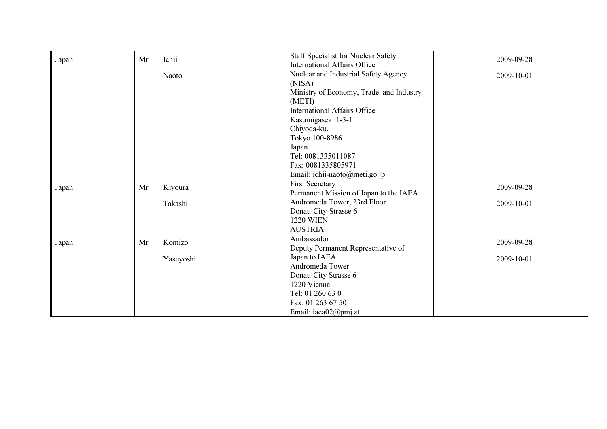| Japan | Ichii<br>Mr   | <b>Staff Specialist for Nuclear Safety</b> | 2009-09-28 |
|-------|---------------|--------------------------------------------|------------|
|       |               | <b>International Affairs Office</b>        |            |
|       | Naoto         | Nuclear and Industrial Safety Agency       | 2009-10-01 |
|       |               | (NISA)                                     |            |
|       |               | Ministry of Economy, Trade. and Industry   |            |
|       |               | (METI)                                     |            |
|       |               | <b>International Affairs Office</b>        |            |
|       |               | Kasumigaseki 1-3-1                         |            |
|       |               | Chiyoda-ku,                                |            |
|       |               | Tokyo 100-8986                             |            |
|       |               | Japan                                      |            |
|       |               | Tel: 0081335011087                         |            |
|       |               | Fax: 0081335805971                         |            |
|       |               | Email: ichii-naoto@meti.go.jp              |            |
| Japan | Kiyoura<br>Mr | <b>First Secretary</b>                     | 2009-09-28 |
|       |               | Permanent Mission of Japan to the IAEA     |            |
|       | Takashi       | Andromeda Tower, 23rd Floor                | 2009-10-01 |
|       |               | Donau-City-Strasse 6                       |            |
|       |               | <b>1220 WIEN</b>                           |            |
|       |               | <b>AUSTRIA</b>                             |            |
| Japan | Komizo<br>Mr  | Ambassador                                 | 2009-09-28 |
|       |               | Deputy Permanent Representative of         |            |
|       | Yasuyoshi     | Japan to IAEA                              | 2009-10-01 |
|       |               | Andromeda Tower                            |            |
|       |               | Donau-City Strasse 6                       |            |
|       |               | 1220 Vienna                                |            |
|       |               | Tel: 01 260 63 0                           |            |
|       |               | Fax: 01 263 67 50                          |            |
|       |               | Email: iaea02@pmj.at                       |            |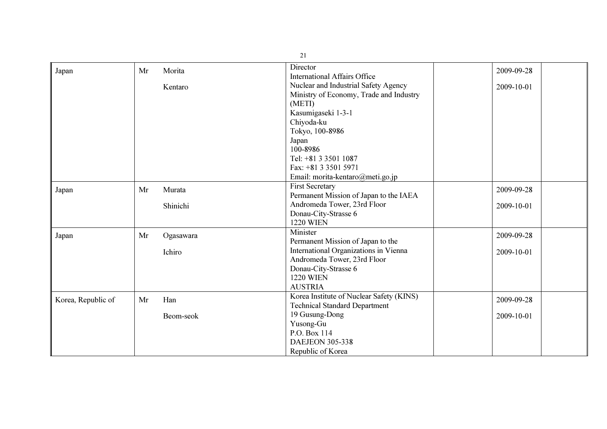| 21                 |    |           |                                                                      |            |
|--------------------|----|-----------|----------------------------------------------------------------------|------------|
| Japan              | Mr | Morita    | Director                                                             | 2009-09-28 |
|                    |    |           | <b>International Affairs Office</b>                                  |            |
|                    |    | Kentaro   | Nuclear and Industrial Safety Agency                                 | 2009-10-01 |
|                    |    |           | Ministry of Economy, Trade and Industry                              |            |
|                    |    |           | (METI)                                                               |            |
|                    |    |           | Kasumigaseki 1-3-1                                                   |            |
|                    |    |           | Chiyoda-ku                                                           |            |
|                    |    |           | Tokyo, 100-8986                                                      |            |
|                    |    |           | Japan                                                                |            |
|                    |    |           | 100-8986                                                             |            |
|                    |    |           | Tel: +81 3 3501 1087                                                 |            |
|                    |    |           | Fax: +81 3 3501 5971                                                 |            |
|                    |    |           | Email: morita-kentaro@meti.go.jp                                     |            |
| Japan              | Mr | Murata    | <b>First Secretary</b>                                               | 2009-09-28 |
|                    |    |           | Permanent Mission of Japan to the IAEA                               |            |
|                    |    | Shinichi  | Andromeda Tower, 23rd Floor                                          | 2009-10-01 |
|                    |    |           | Donau-City-Strasse 6                                                 |            |
|                    |    |           | <b>1220 WIEN</b>                                                     |            |
| Japan              | Mr | Ogasawara | Minister                                                             | 2009-09-28 |
|                    |    |           | Permanent Mission of Japan to the                                    |            |
|                    |    | Ichiro    | International Organizations in Vienna<br>Andromeda Tower, 23rd Floor | 2009-10-01 |
|                    |    |           | Donau-City-Strasse 6                                                 |            |
|                    |    |           | <b>1220 WIEN</b>                                                     |            |
|                    |    |           | <b>AUSTRIA</b>                                                       |            |
|                    |    |           | Korea Institute of Nuclear Safety (KINS)                             |            |
| Korea, Republic of | Mr | Han       | <b>Technical Standard Department</b>                                 | 2009-09-28 |
|                    |    |           | 19 Gusung-Dong                                                       | 2009-10-01 |
|                    |    | Beom-seok | Yusong-Gu                                                            |            |
|                    |    |           | P.O. Box 114                                                         |            |
|                    |    |           | <b>DAEJEON 305-338</b>                                               |            |
|                    |    |           | Republic of Korea                                                    |            |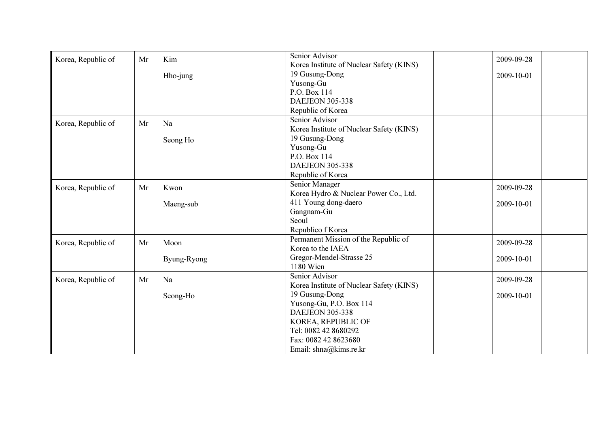| Korea, Republic of | Mr | Kim         | Senior Advisor                                             | 2009-09-28 |
|--------------------|----|-------------|------------------------------------------------------------|------------|
|                    |    |             | Korea Institute of Nuclear Safety (KINS)<br>19 Gusung-Dong |            |
|                    |    | Hho-jung    | Yusong-Gu                                                  | 2009-10-01 |
|                    |    |             | P.O. Box 114                                               |            |
|                    |    |             | <b>DAEJEON 305-338</b>                                     |            |
|                    |    |             | Republic of Korea                                          |            |
|                    |    |             | Senior Advisor                                             |            |
| Korea, Republic of | Mr | Na          | Korea Institute of Nuclear Safety (KINS)                   |            |
|                    |    | Seong Ho    | 19 Gusung-Dong                                             |            |
|                    |    |             | Yusong-Gu                                                  |            |
|                    |    |             | P.O. Box 114                                               |            |
|                    |    |             | <b>DAEJEON 305-338</b>                                     |            |
|                    |    |             | Republic of Korea                                          |            |
| Korea, Republic of | Mr | Kwon        | Senior Manager                                             | 2009-09-28 |
|                    |    |             | Korea Hydro & Nuclear Power Co., Ltd.                      |            |
|                    |    | Maeng-sub   | 411 Young dong-daero                                       | 2009-10-01 |
|                    |    |             | Gangnam-Gu                                                 |            |
|                    |    |             | Seoul                                                      |            |
|                    |    |             | Republico f Korea                                          |            |
| Korea, Republic of | Mr | Moon        | Permanent Mission of the Republic of                       | 2009-09-28 |
|                    |    |             | Korea to the IAEA                                          |            |
|                    |    | Byung-Ryong | Gregor-Mendel-Strasse 25                                   | 2009-10-01 |
|                    |    |             | 1180 Wien                                                  |            |
| Korea, Republic of | Mr | Na          | Senior Advisor                                             | 2009-09-28 |
|                    |    |             | Korea Institute of Nuclear Safety (KINS)                   |            |
|                    |    | Seong-Ho    | 19 Gusung-Dong                                             | 2009-10-01 |
|                    |    |             | Yusong-Gu, P.O. Box 114                                    |            |
|                    |    |             | <b>DAEJEON 305-338</b>                                     |            |
|                    |    |             | KOREA, REPUBLIC OF                                         |            |
|                    |    |             | Tel: 0082 42 8680292                                       |            |
|                    |    |             | Fax: 0082 42 8623680                                       |            |
|                    |    |             | Email: shna@kims.re.kr                                     |            |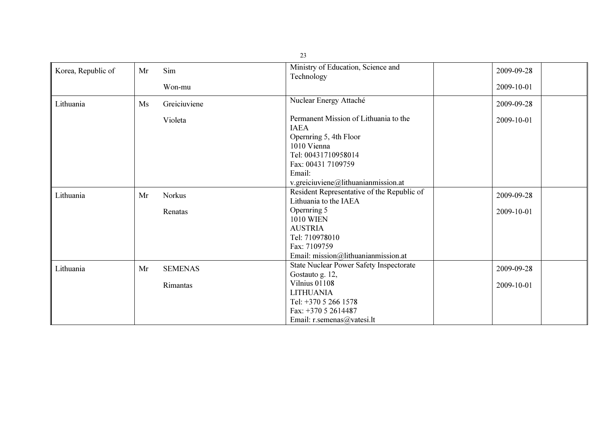| Korea, Republic of | Mr | Sim                        | Ministry of Education, Science and<br>Technology                                                                                                                                            | 2009-09-28               |
|--------------------|----|----------------------------|---------------------------------------------------------------------------------------------------------------------------------------------------------------------------------------------|--------------------------|
|                    |    | Won-mu                     |                                                                                                                                                                                             | 2009-10-01               |
| Lithuania          | Ms | Greiciuviene               | Nuclear Energy Attaché                                                                                                                                                                      | 2009-09-28               |
|                    |    | Violeta                    | Permanent Mission of Lithuania to the<br><b>IAEA</b><br>Opernring 5, 4th Floor<br>1010 Vienna<br>Tel: 00431710958014<br>Fax: 00431 7109759<br>Email:<br>v.greiciuviene@lithuanianmission.at | 2009-10-01               |
| Lithuania          | Mr | <b>Norkus</b><br>Renatas   | Resident Representative of the Republic of<br>Lithuania to the IAEA<br>Opernring 5<br><b>1010 WIEN</b><br><b>AUSTRIA</b><br>Tel: 710978010<br>Fax: 7109759                                  | 2009-09-28<br>2009-10-01 |
|                    |    |                            | Email: mission@lithuanianmission.at                                                                                                                                                         |                          |
| Lithuania          | Mr | <b>SEMENAS</b><br>Rimantas | <b>State Nuclear Power Safety Inspectorate</b><br>Gostauto g. 12,<br>Vilnius 01108                                                                                                          | 2009-09-28<br>2009-10-01 |
|                    |    |                            | <b>LITHUANIA</b><br>Tel: +370 5 266 1578<br>Fax: $+37052614487$<br>Email: r.semenas@vatesi.lt                                                                                               |                          |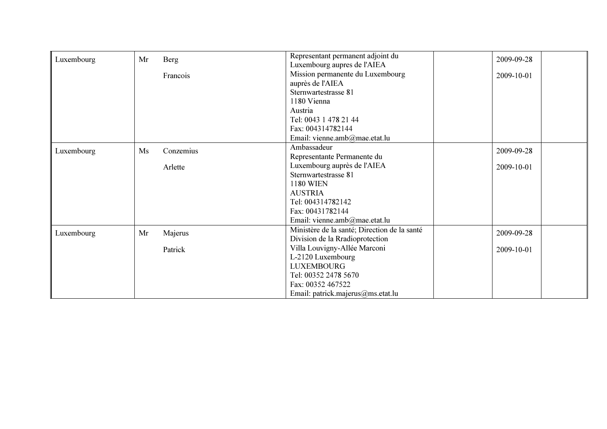| Luxembourg | Mr | Berg      | Representant permanent adjoint du            | 2009-09-28 |
|------------|----|-----------|----------------------------------------------|------------|
|            |    |           | Luxembourg aupres de l'AIEA                  |            |
|            |    | Francois  | Mission permanente du Luxembourg             | 2009-10-01 |
|            |    |           | auprès de l'AIEA                             |            |
|            |    |           | Sternwartestrasse 81                         |            |
|            |    |           | 1180 Vienna                                  |            |
|            |    |           | Austria                                      |            |
|            |    |           | Tel: 0043 1 478 21 44                        |            |
|            |    |           | Fax: 004314782144                            |            |
|            |    |           | Email: vienne.amb@mae.etat.lu                |            |
| Luxembourg | Ms | Conzemius | Ambassadeur                                  | 2009-09-28 |
|            |    |           | Representante Permanente du                  |            |
|            |    | Arlette   | Luxembourg auprès de l'AIEA                  | 2009-10-01 |
|            |    |           | Sternwartestrasse 81                         |            |
|            |    |           | <b>1180 WIEN</b>                             |            |
|            |    |           | <b>AUSTRIA</b>                               |            |
|            |    |           | Tel: 004314782142                            |            |
|            |    |           | Fax: 00431782144                             |            |
|            |    |           | Email: vienne.amb@mae.etat.lu                |            |
| Luxembourg | Mr | Majerus   | Ministère de la santé; Direction de la santé | 2009-09-28 |
|            |    |           | Division de la Rradioprotection              |            |
|            |    | Patrick   | Villa Louvigny-Allée Marconi                 | 2009-10-01 |
|            |    |           | L-2120 Luxembourg                            |            |
|            |    |           | <b>LUXEMBOURG</b>                            |            |
|            |    |           | Tel: 00352 2478 5670                         |            |
|            |    |           | Fax: 00352 467522                            |            |
|            |    |           | Email: patrick.majerus@ms.etat.lu            |            |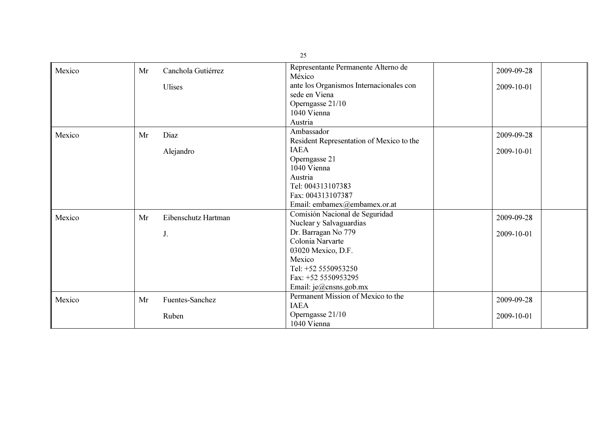|        |    |                     | 25                                            |            |
|--------|----|---------------------|-----------------------------------------------|------------|
| Mexico | Mr | Canchola Gutiérrez  | Representante Permanente Alterno de<br>México | 2009-09-28 |
|        |    | <b>Ulises</b>       | ante los Organismos Internacionales con       | 2009-10-01 |
|        |    |                     | sede en Viena                                 |            |
|        |    |                     | Operngasse 21/10                              |            |
|        |    |                     | 1040 Vienna                                   |            |
|        |    |                     | Austria                                       |            |
| Mexico | Mr | Diaz                | Ambassador                                    | 2009-09-28 |
|        |    |                     | Resident Representation of Mexico to the      |            |
|        |    | Alejandro           | <b>IAEA</b>                                   | 2009-10-01 |
|        |    |                     | Operngasse 21                                 |            |
|        |    |                     | 1040 Vienna                                   |            |
|        |    |                     | Austria                                       |            |
|        |    |                     | Tel: 004313107383                             |            |
|        |    |                     | Fax: 004313107387                             |            |
|        |    |                     | Email: embamex@embamex.or.at                  |            |
| Mexico | Mr | Eibenschutz Hartman | Comisión Nacional de Seguridad                | 2009-09-28 |
|        |    |                     | Nuclear y Salvaguardias                       |            |
|        |    | J.                  | Dr. Barragan No 779                           | 2009-10-01 |
|        |    |                     | Colonia Narvarte                              |            |
|        |    |                     | 03020 Mexico, D.F.                            |            |
|        |    |                     | Mexico                                        |            |
|        |    |                     | Tel: +52 5550953250                           |            |
|        |    |                     | Fax: +52 5550953295                           |            |
|        |    |                     | Email: je@cnsns.gob.mx                        |            |
| Mexico | Mr | Fuentes-Sanchez     | Permanent Mission of Mexico to the            | 2009-09-28 |
|        |    |                     | <b>IAEA</b>                                   |            |
|        |    | Ruben               | Operngasse 21/10                              | 2009-10-01 |
|        |    |                     | 1040 Vienna                                   |            |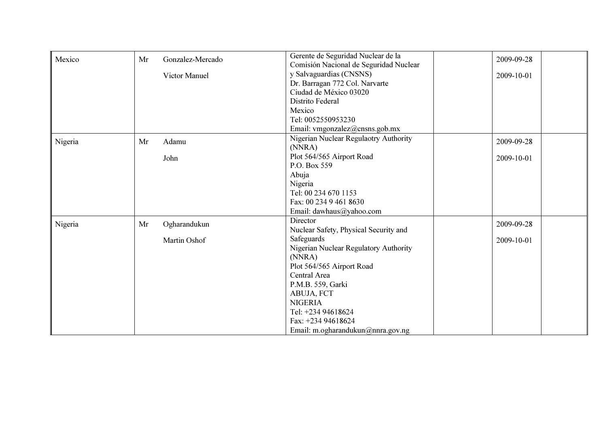| Mexico  | Mr | Gonzalez-Mercado | Gerente de Seguridad Nuclear de la     | 2009-09-28 |
|---------|----|------------------|----------------------------------------|------------|
|         |    |                  | Comisión Nacional de Seguridad Nuclear |            |
|         |    | Victor Manuel    | y Salvaguardias (CNSNS)                | 2009-10-01 |
|         |    |                  | Dr. Barragan 772 Col. Narvarte         |            |
|         |    |                  | Ciudad de México 03020                 |            |
|         |    |                  | Distrito Federal                       |            |
|         |    |                  | Mexico                                 |            |
|         |    |                  | Tel: 0052550953230                     |            |
|         |    |                  | Email: vmgonzalez@cnsns.gob.mx         |            |
| Nigeria | Mr | Adamu            | Nigerian Nuclear Regulaotry Authority  | 2009-09-28 |
|         |    |                  | (NNRA)                                 |            |
|         |    | John             | Plot 564/565 Airport Road              | 2009-10-01 |
|         |    |                  | P.O. Box 559                           |            |
|         |    |                  | Abuja                                  |            |
|         |    |                  | Nigeria                                |            |
|         |    |                  | Tel: 00 234 670 1153                   |            |
|         |    |                  | Fax: 00 234 9 461 8630                 |            |
|         |    |                  | Email: dawhaus@yahoo.com               |            |
| Nigeria | Mr | Ogharandukun     | Director                               | 2009-09-28 |
|         |    |                  | Nuclear Safety, Physical Security and  |            |
|         |    | Martin Oshof     | Safeguards                             | 2009-10-01 |
|         |    |                  | Nigerian Nuclear Regulatory Authority  |            |
|         |    |                  | (NNRA)                                 |            |
|         |    |                  | Plot 564/565 Airport Road              |            |
|         |    |                  | Central Area                           |            |
|         |    |                  | P.M.B. 559, Garki                      |            |
|         |    |                  | ABUJA, FCT                             |            |
|         |    |                  | <b>NIGERIA</b>                         |            |
|         |    |                  | Tel: +234 94618624                     |            |
|         |    |                  | Fax: +234 94618624                     |            |
|         |    |                  | Email: m.ogharandukun@nnra.gov.ng      |            |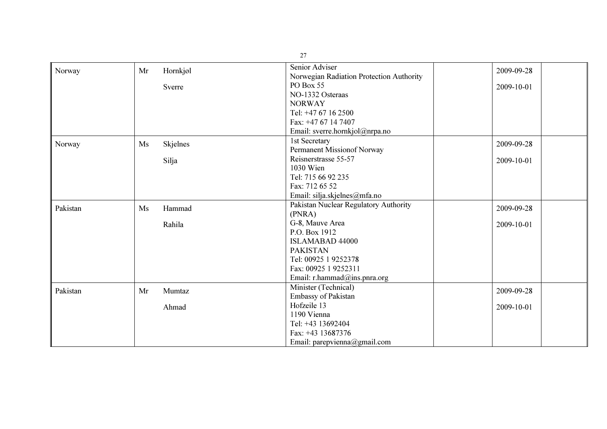|          |    |          | 27                                                         |            |
|----------|----|----------|------------------------------------------------------------|------------|
| Norway   | Mr | Hornkjøl | Senior Adviser<br>Norwegian Radiation Protection Authority | 2009-09-28 |
|          |    | Sverre   | PO Box 55                                                  | 2009-10-01 |
|          |    |          | NO-1332 Osteraas                                           |            |
|          |    |          | <b>NORWAY</b>                                              |            |
|          |    |          | Tel: +47 67 16 2500                                        |            |
|          |    |          | Fax: +47 67 14 7407                                        |            |
|          |    |          | Email: sverre.hornkjol@nrpa.no                             |            |
| Norway   | Ms | Skjelnes | 1st Secretary                                              | 2009-09-28 |
|          |    |          | Permanent Missionof Norway                                 |            |
|          |    | Silja    | Reisnerstrasse 55-57                                       | 2009-10-01 |
|          |    |          | 1030 Wien                                                  |            |
|          |    |          | Tel: 715 66 92 235                                         |            |
|          |    |          | Fax: 712 65 52                                             |            |
|          |    |          | Email: silja.skjelnes@mfa.no                               |            |
| Pakistan | Ms | Hammad   | Pakistan Nuclear Regulatory Authority                      | 2009-09-28 |
|          |    |          | (PNRA)                                                     |            |
|          |    | Rahila   | G-8, Mauve Area                                            | 2009-10-01 |
|          |    |          | P.O. Box 1912                                              |            |
|          |    |          | <b>ISLAMABAD 44000</b>                                     |            |
|          |    |          | <b>PAKISTAN</b>                                            |            |
|          |    |          | Tel: 00925 1 9252378                                       |            |
|          |    |          | Fax: 00925 1 9252311                                       |            |
|          |    |          | Email: r.hammad@ins.pnra.org                               |            |
| Pakistan | Mr | Mumtaz   | Minister (Technical)<br>Embassy of Pakistan                | 2009-09-28 |
|          |    |          | Hofzeile 13                                                |            |
|          |    | Ahmad    | 1190 Vienna                                                | 2009-10-01 |
|          |    |          | Tel: +43 13692404                                          |            |
|          |    |          | Fax: +43 13687376                                          |            |
|          |    |          | Email: parepvienna@gmail.com                               |            |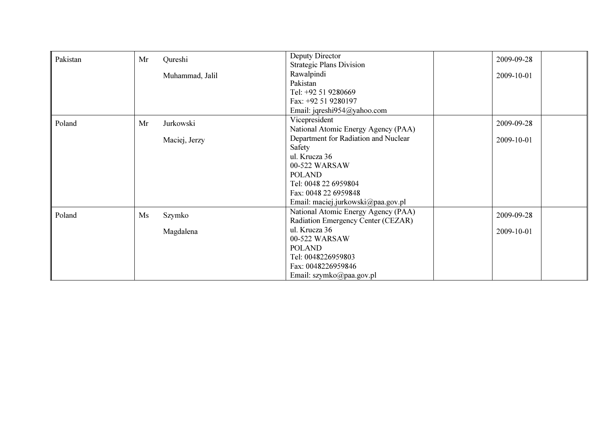| Pakistan | Mr | Qureshi         | Deputy Director                      | 2009-09-28 |
|----------|----|-----------------|--------------------------------------|------------|
|          |    |                 | <b>Strategic Plans Division</b>      |            |
|          |    | Muhammad, Jalil | Rawalpindi                           | 2009-10-01 |
|          |    |                 | Pakistan                             |            |
|          |    |                 | Tel: +92 51 9280669                  |            |
|          |    |                 | Fax: +92 51 9280197                  |            |
|          |    |                 | Email: jqreshi954@yahoo.com          |            |
| Poland   | Mr | Jurkowski       | Vicepresident                        | 2009-09-28 |
|          |    |                 | National Atomic Energy Agency (PAA)  |            |
|          |    | Maciej, Jerzy   | Department for Radiation and Nuclear | 2009-10-01 |
|          |    |                 | Safety                               |            |
|          |    |                 | ul. Krucza 36                        |            |
|          |    |                 | 00-522 WARSAW                        |            |
|          |    |                 | <b>POLAND</b>                        |            |
|          |    |                 | Tel: 0048 22 6959804                 |            |
|          |    |                 | Fax: 0048 22 6959848                 |            |
|          |    |                 | Email: maciej.jurkowski@paa.gov.pl   |            |
| Poland   | Ms | Szymko          | National Atomic Energy Agency (PAA)  | 2009-09-28 |
|          |    |                 | Radiation Emergency Center (CEZAR)   |            |
|          |    | Magdalena       | ul. Krucza 36                        | 2009-10-01 |
|          |    |                 | 00-522 WARSAW                        |            |
|          |    |                 | <b>POLAND</b>                        |            |
|          |    |                 | Tel: 0048226959803                   |            |
|          |    |                 | Fax: 0048226959846                   |            |
|          |    |                 | Email: szymko@paa.gov.pl             |            |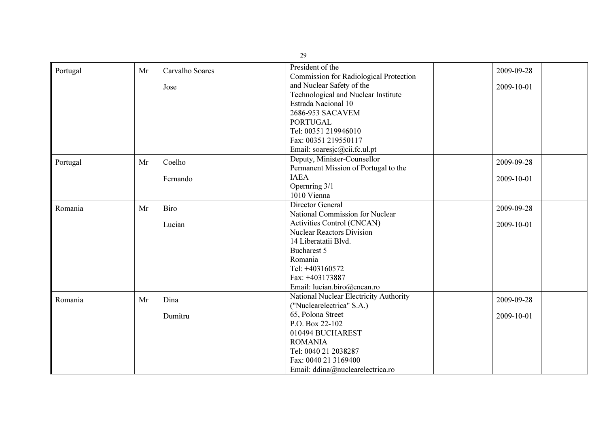|          | 29 |                 |                                                                   |            |  |
|----------|----|-----------------|-------------------------------------------------------------------|------------|--|
| Portugal | Mr | Carvalho Soares | President of the<br><b>Commission for Radiological Protection</b> | 2009-09-28 |  |
|          |    | Jose            | and Nuclear Safety of the                                         | 2009-10-01 |  |
|          |    |                 | Technological and Nuclear Institute                               |            |  |
|          |    |                 | Estrada Nacional 10                                               |            |  |
|          |    |                 | 2686-953 SACAVEM                                                  |            |  |
|          |    |                 | <b>PORTUGAL</b>                                                   |            |  |
|          |    |                 | Tel: 00351 219946010                                              |            |  |
|          |    |                 | Fax: 00351 219550117                                              |            |  |
|          |    |                 | Email: soaresjc@cii.fc.ul.pt                                      |            |  |
| Portugal | Mr | Coelho          | Deputy, Minister-Counsellor                                       | 2009-09-28 |  |
|          |    |                 | Permanent Mission of Portugal to the                              |            |  |
|          |    | Fernando        | <b>IAEA</b>                                                       | 2009-10-01 |  |
|          |    |                 | Opernring 3/1                                                     |            |  |
|          |    |                 | 1010 Vienna                                                       |            |  |
| Romania  | Mr | Biro            | Director General                                                  | 2009-09-28 |  |
|          |    |                 | National Commission for Nuclear                                   |            |  |
|          |    | Lucian          | Activities Control (CNCAN)                                        | 2009-10-01 |  |
|          |    |                 | <b>Nuclear Reactors Division</b>                                  |            |  |
|          |    |                 | 14 Liberatatii Blvd.                                              |            |  |
|          |    |                 | Bucharest 5                                                       |            |  |
|          |    |                 | Romania                                                           |            |  |
|          |    |                 | Tel: +403160572                                                   |            |  |
|          |    |                 | Fax: +403173887                                                   |            |  |
|          |    |                 | Email: lucian.biro@cncan.ro                                       |            |  |
| Romania  | Mr | Dina            | National Nuclear Electricity Authority                            | 2009-09-28 |  |
|          |    |                 | ("Nuclearelectrica" S.A.)                                         |            |  |
|          |    | Dumitru         | 65, Polona Street                                                 | 2009-10-01 |  |
|          |    |                 | P.O. Box 22-102                                                   |            |  |
|          |    |                 | 010494 BUCHAREST                                                  |            |  |
|          |    |                 | <b>ROMANIA</b>                                                    |            |  |
|          |    |                 | Tel: 0040 21 2038287                                              |            |  |
|          |    |                 | Fax: 0040 21 3169400                                              |            |  |
|          |    |                 | Email: ddina@nuclearelectrica.ro                                  |            |  |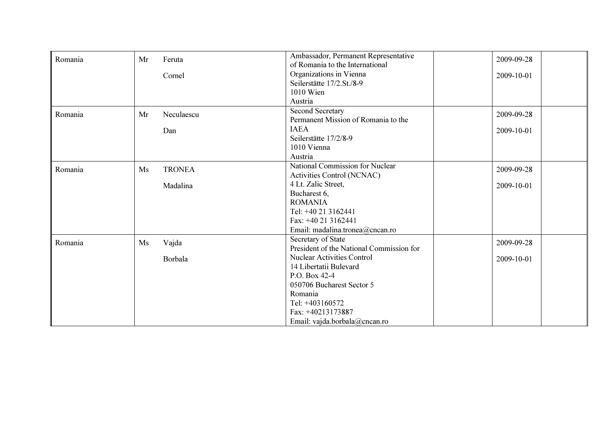| Romania | Mr | Feruta        | Ambassador, Permanent Representative     | 2009-09-28 |
|---------|----|---------------|------------------------------------------|------------|
|         |    |               | of Romania to the International          |            |
|         |    | Cornel        | Organizations in Vienna                  | 2009-10-01 |
|         |    |               | Seilerstätte 17/2.St./8-9                |            |
|         |    |               | 1010 Wien                                |            |
|         |    |               | Austria                                  |            |
| Romania | Mr | Neculaescu    | <b>Second Secretary</b>                  | 2009-09-28 |
|         |    |               | Permanent Mission of Romania to the      |            |
|         |    | Dan           | <b>IAEA</b>                              | 2009-10-01 |
|         |    |               | Seilerstätte 17/2/8-9                    |            |
|         |    |               | 1010 Vienna                              |            |
|         |    |               | Austria                                  |            |
| Romania | Ms | <b>TRONEA</b> | National Commission for Nuclear          | 2009-09-28 |
|         |    |               | Activities Control (NCNAC)               |            |
|         |    | Madalina      | 4 Lt. Zalic Street,                      | 2009-10-01 |
|         |    |               | Bucharest 6,                             |            |
|         |    |               | <b>ROMANIA</b>                           |            |
|         |    |               | Tel: +40 21 3162441                      |            |
|         |    |               | Fax: +40 21 3162441                      |            |
|         |    |               | Email: madalina.tronea@cncan.ro          |            |
| Romania | Ms | Vajda         | Secretary of State                       | 2009-09-28 |
|         |    |               | President of the National Commission for |            |
|         |    | Borbala       | <b>Nuclear Activities Control</b>        | 2009-10-01 |
|         |    |               | 14 Libertatii Bulevard                   |            |
|         |    |               | P.O. Box 42-4                            |            |
|         |    |               | 050706 Bucharest Sector 5                |            |
|         |    |               | Romania                                  |            |
|         |    |               | Tel: +403160572                          |            |
|         |    |               | Fax: +40213173887                        |            |
|         |    |               | Email: vajda.borbala@cncan.ro            |            |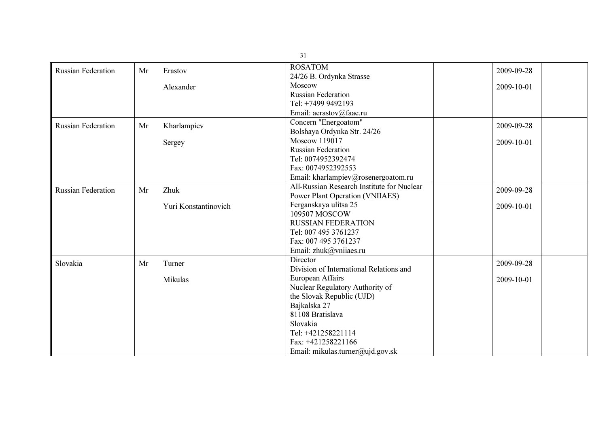|                           |    |                      | 31                                         |            |
|---------------------------|----|----------------------|--------------------------------------------|------------|
| <b>Russian Federation</b> | Mr | Erastov              | <b>ROSATOM</b>                             | 2009-09-28 |
|                           |    |                      | 24/26 B. Ordynka Strasse                   |            |
|                           |    | Alexander            | Moscow                                     | 2009-10-01 |
|                           |    |                      | <b>Russian Federation</b>                  |            |
|                           |    |                      | Tel: +7499 9492193                         |            |
|                           |    |                      | Email: aerastov@faae.ru                    |            |
| <b>Russian Federation</b> | Mr | Kharlampiev          | Concern "Energoatom"                       | 2009-09-28 |
|                           |    |                      | Bolshaya Ordynka Str. 24/26                |            |
|                           |    | Sergey               | Moscow 119017                              | 2009-10-01 |
|                           |    |                      | <b>Russian Federation</b>                  |            |
|                           |    |                      | Tel: 0074952392474                         |            |
|                           |    |                      | Fax: 0074952392553                         |            |
|                           |    |                      | Email: kharlampiev@rosenergoatom.ru        |            |
| <b>Russian Federation</b> | Mr | Zhuk                 | All-Russian Research Institute for Nuclear | 2009-09-28 |
|                           |    |                      | <b>Power Plant Operation (VNIIAES)</b>     |            |
|                           |    | Yuri Konstantinovich | Ferganskaya ulitsa 25                      | 2009-10-01 |
|                           |    |                      | 109507 MOSCOW                              |            |
|                           |    |                      | <b>RUSSIAN FEDERATION</b>                  |            |
|                           |    |                      | Tel: 007 495 3761237                       |            |
|                           |    |                      | Fax: 007 495 3761237                       |            |
|                           |    |                      | Email: zhuk@vniiaes.ru                     |            |
| Slovakia                  | Mr | Turner               | Director                                   | 2009-09-28 |
|                           |    |                      | Division of International Relations and    |            |
|                           |    | Mikulas              | European Affairs                           | 2009-10-01 |
|                           |    |                      | Nuclear Regulatory Authority of            |            |
|                           |    |                      | the Slovak Republic (UJD)                  |            |
|                           |    |                      | Bajkalska 27                               |            |
|                           |    |                      | 81108 Bratislava                           |            |
|                           |    |                      | Slovakia                                   |            |
|                           |    |                      | Tel: +421258221114                         |            |
|                           |    |                      | Fax: +421258221166                         |            |
|                           |    |                      | Email: mikulas.turner@ujd.gov.sk           |            |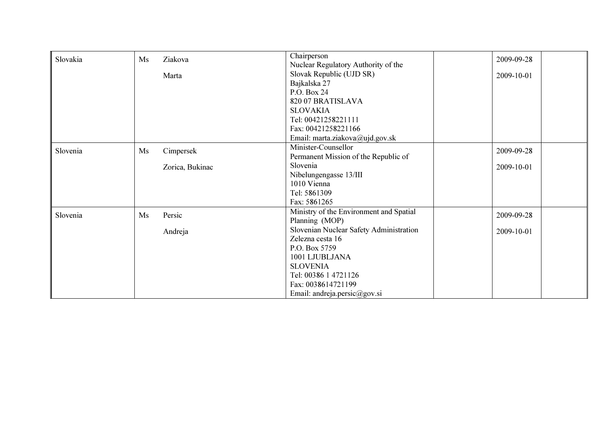| Slovakia | Ms | Ziakova         | Chairperson                             | 2009-09-28 |
|----------|----|-----------------|-----------------------------------------|------------|
|          |    |                 | Nuclear Regulatory Authority of the     |            |
|          |    | Marta           | Slovak Republic (UJD SR)                | 2009-10-01 |
|          |    |                 | Bajkalska 27                            |            |
|          |    |                 | P.O. Box 24                             |            |
|          |    |                 | 820 07 BRATISLAVA                       |            |
|          |    |                 | <b>SLOVAKIA</b>                         |            |
|          |    |                 | Tel: 00421258221111                     |            |
|          |    |                 | Fax: 00421258221166                     |            |
|          |    |                 | Email: marta.ziakova@ujd.gov.sk         |            |
| Slovenia | Ms | Cimpersek       | Minister-Counsellor                     | 2009-09-28 |
|          |    |                 | Permanent Mission of the Republic of    |            |
|          |    | Zorica, Bukinac | Slovenia                                | 2009-10-01 |
|          |    |                 | Nibelungengasse 13/III                  |            |
|          |    |                 | 1010 Vienna                             |            |
|          |    |                 | Tel: 5861309                            |            |
|          |    |                 | Fax: 5861265                            |            |
| Slovenia | Ms | Persic          | Ministry of the Environment and Spatial | 2009-09-28 |
|          |    |                 | Planning (MOP)                          |            |
|          |    | Andreja         | Slovenian Nuclear Safety Administration | 2009-10-01 |
|          |    |                 | Zelezna cesta 16                        |            |
|          |    |                 | P.O. Box 5759                           |            |
|          |    |                 | 1001 LJUBLJANA                          |            |
|          |    |                 | <b>SLOVENIA</b>                         |            |
|          |    |                 | Tel: 00386 1 4721126                    |            |
|          |    |                 | Fax: 0038614721199                      |            |
|          |    |                 | Email: andreja.persic@gov.si            |            |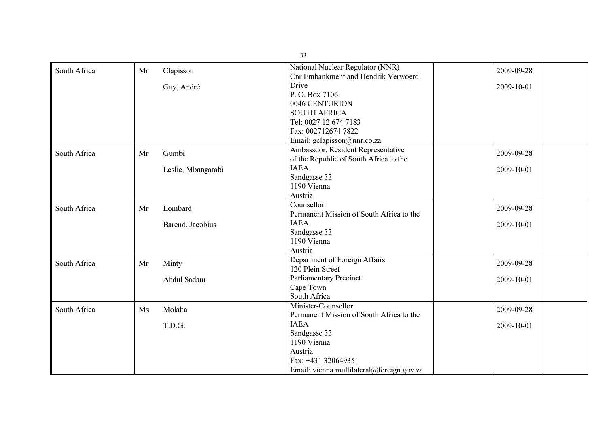|              |    |                   | 33                                         |            |
|--------------|----|-------------------|--------------------------------------------|------------|
| South Africa | Mr | Clapisson         | National Nuclear Regulator (NNR)           | 2009-09-28 |
|              |    |                   | <b>Cnr Embankment and Hendrik Verwoerd</b> |            |
|              |    | Guy, André        | Drive                                      | 2009-10-01 |
|              |    |                   | P.O. Box 7106                              |            |
|              |    |                   | 0046 CENTURION                             |            |
|              |    |                   | <b>SOUTH AFRICA</b>                        |            |
|              |    |                   | Tel: 0027 12 674 7183                      |            |
|              |    |                   | Fax: 002712674 7822                        |            |
|              |    |                   | Email: gclapisson@nnr.co.za                |            |
| South Africa | Mr | Gumbi             | Ambassdor, Resident Representative         | 2009-09-28 |
|              |    |                   | of the Republic of South Africa to the     |            |
|              |    | Leslie, Mbangambi | <b>IAEA</b>                                | 2009-10-01 |
|              |    |                   | Sandgasse 33                               |            |
|              |    |                   | 1190 Vienna                                |            |
|              |    |                   | Austria                                    |            |
| South Africa | Mr | Lombard           | Counsellor                                 | 2009-09-28 |
|              |    |                   | Permanent Mission of South Africa to the   |            |
|              |    | Barend, Jacobius  | <b>IAEA</b>                                | 2009-10-01 |
|              |    |                   | Sandgasse 33                               |            |
|              |    |                   | 1190 Vienna                                |            |
|              |    |                   | Austria                                    |            |
| South Africa | Mr | Minty             | Department of Foreign Affairs              | 2009-09-28 |
|              |    |                   | 120 Plein Street                           |            |
|              |    | Abdul Sadam       | <b>Parliamentary Precinct</b>              | 2009-10-01 |
|              |    |                   | Cape Town                                  |            |
|              |    |                   | South Africa                               |            |
| South Africa | Ms | Molaba            | Minister-Counsellor                        | 2009-09-28 |
|              |    |                   | Permanent Mission of South Africa to the   |            |
|              |    | T.D.G.            | <b>IAEA</b>                                | 2009-10-01 |
|              |    |                   | Sandgasse 33                               |            |
|              |    |                   | 1190 Vienna                                |            |
|              |    |                   | Austria                                    |            |
|              |    |                   | Fax: +431 320649351                        |            |
|              |    |                   | Email: vienna.multilateral@foreign.gov.za  |            |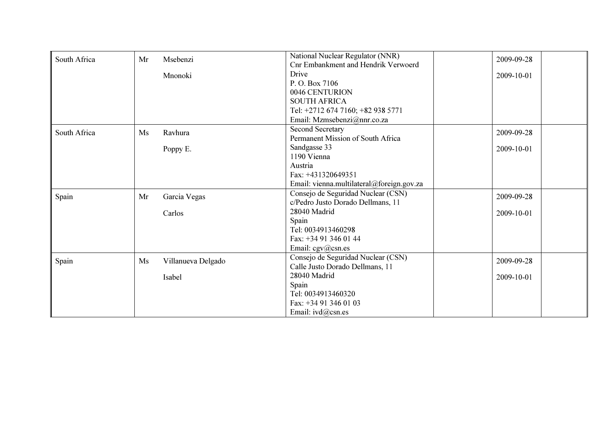| South Africa | Mr | Msebenzi           | National Nuclear Regulator (NNR)           | 2009-09-28 |
|--------------|----|--------------------|--------------------------------------------|------------|
|              |    |                    | <b>Cnr Embankment and Hendrik Verwoerd</b> |            |
|              |    | Mnonoki            | Drive                                      | 2009-10-01 |
|              |    |                    | P.O. Box 7106                              |            |
|              |    |                    | 0046 CENTURION                             |            |
|              |    |                    | <b>SOUTH AFRICA</b>                        |            |
|              |    |                    | Tel: +2712 674 7160; +82 938 5771          |            |
|              |    |                    | Email: Mzmsebenzi@nnr.co.za                |            |
| South Africa | Ms | Ravhura            | <b>Second Secretary</b>                    | 2009-09-28 |
|              |    |                    | Permanent Mission of South Africa          |            |
|              |    | Poppy E.           | Sandgasse 33                               | 2009-10-01 |
|              |    |                    | 1190 Vienna                                |            |
|              |    |                    | Austria                                    |            |
|              |    |                    | Fax: +431320649351                         |            |
|              |    |                    | Email: vienna.multilateral@foreign.gov.za  |            |
| Spain        | Mr | Garcia Vegas       | Consejo de Seguridad Nuclear (CSN)         | 2009-09-28 |
|              |    |                    | c/Pedro Justo Dorado Dellmans, 11          |            |
|              |    | Carlos             | 28040 Madrid                               | 2009-10-01 |
|              |    |                    | Spain                                      |            |
|              |    |                    | Tel: 0034913460298                         |            |
|              |    |                    | Fax: +34 91 346 01 44                      |            |
|              |    |                    | Email: $cgv@csn.es$                        |            |
| Spain        | Ms | Villanueva Delgado | Consejo de Seguridad Nuclear (CSN)         | 2009-09-28 |
|              |    |                    | Calle Justo Dorado Dellmans, 11            |            |
|              |    | Isabel             | 28040 Madrid                               | 2009-10-01 |
|              |    |                    | Spain                                      |            |
|              |    |                    | Tel: 0034913460320                         |            |
|              |    |                    | Fax: +34 91 346 01 03                      |            |
|              |    |                    | Email: ivd@csn.es                          |            |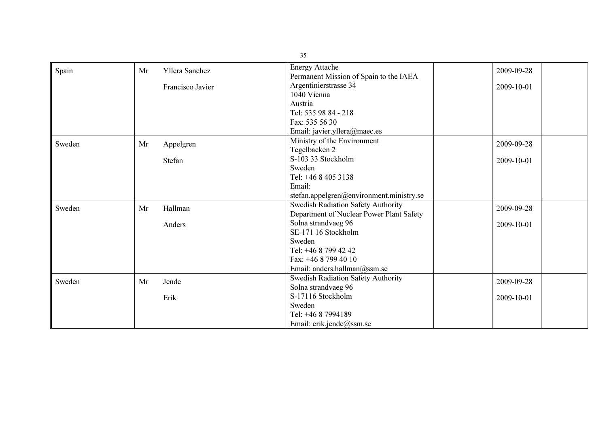|        |    |                  | 35                                                              |            |
|--------|----|------------------|-----------------------------------------------------------------|------------|
| Spain  | Mr | Yllera Sanchez   | <b>Energy Attache</b><br>Permanent Mission of Spain to the IAEA | 2009-09-28 |
|        |    | Francisco Javier | Argentinierstrasse 34                                           | 2009-10-01 |
|        |    |                  | 1040 Vienna                                                     |            |
|        |    |                  | Austria                                                         |            |
|        |    |                  | Tel: 535 98 84 - 218                                            |            |
|        |    |                  | Fax: 535 56 30                                                  |            |
|        |    |                  | Email: javier.yllera@maec.es                                    |            |
| Sweden | Mr | Appelgren        | Ministry of the Environment                                     | 2009-09-28 |
|        |    |                  | Tegelbacken 2                                                   |            |
|        |    | Stefan           | S-103 33 Stockholm                                              | 2009-10-01 |
|        |    |                  | Sweden                                                          |            |
|        |    |                  | Tel: +46 8 405 3138                                             |            |
|        |    |                  | Email:                                                          |            |
|        |    |                  | stefan.appelgren@environment.ministry.se                        |            |
| Sweden | Mr | Hallman          | Swedish Radiation Safety Authority                              | 2009-09-28 |
|        |    |                  | Department of Nuclear Power Plant Safety                        |            |
|        |    | Anders           | Solna strandvaeg 96                                             | 2009-10-01 |
|        |    |                  | SE-171 16 Stockholm                                             |            |
|        |    |                  | Sweden                                                          |            |
|        |    |                  | Tel: +46 8 799 42 42                                            |            |
|        |    |                  | Fax: $+4687994010$                                              |            |
|        |    |                  | Email: anders.hallman@ssm.se                                    |            |
| Sweden | Mr | Jende            | Swedish Radiation Safety Authority                              | 2009-09-28 |
|        |    |                  | Solna strandvaeg 96                                             |            |
|        |    | Erik             | S-17116 Stockholm                                               | 2009-10-01 |
|        |    |                  | Sweden                                                          |            |
|        |    |                  | Tel: +46 8 7994189                                              |            |
|        |    |                  | Email: erik.jende@ssm.se                                        |            |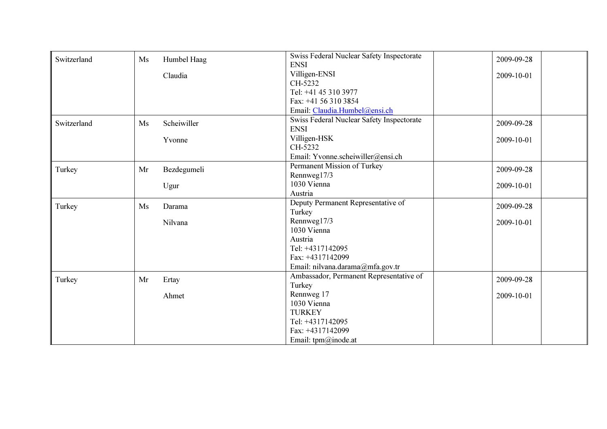| Switzerland | Ms | Humbel Haag | Swiss Federal Nuclear Safety Inspectorate | 2009-09-28 |
|-------------|----|-------------|-------------------------------------------|------------|
|             |    |             | <b>ENSI</b>                               |            |
|             |    | Claudia     | Villigen-ENSI                             | 2009-10-01 |
|             |    |             | CH-5232                                   |            |
|             |    |             | Tel: +41 45 310 3977                      |            |
|             |    |             | Fax: +41 56 310 3854                      |            |
|             |    |             | Email: Claudia.Humbel@ensi.ch             |            |
| Switzerland | Ms | Scheiwiller | Swiss Federal Nuclear Safety Inspectorate | 2009-09-28 |
|             |    |             | <b>ENSI</b>                               |            |
|             |    | Yvonne      | Villigen-HSK                              | 2009-10-01 |
|             |    |             | CH-5232                                   |            |
|             |    |             | Email: Yvonne.scheiwiller@ensi.ch         |            |
| Turkey      | Mr | Bezdegumeli | Permanent Mission of Turkey               | 2009-09-28 |
|             |    |             | Rennweg17/3                               |            |
|             |    | Ugur        | 1030 Vienna                               | 2009-10-01 |
|             |    |             | Austria                                   |            |
| Turkey      | Ms | Darama      | Deputy Permanent Representative of        | 2009-09-28 |
|             |    |             | Turkey                                    |            |
|             |    | Nilvana     | Rennweg17/3                               | 2009-10-01 |
|             |    |             | 1030 Vienna                               |            |
|             |    |             | Austria                                   |            |
|             |    |             | Tel: +4317142095                          |            |
|             |    |             | Fax: +4317142099                          |            |
|             |    |             | Email: nilvana.darama@mfa.gov.tr          |            |
| Turkey      | Mr | Ertay       | Ambassador, Permanent Representative of   | 2009-09-28 |
|             |    |             | Turkey                                    |            |
|             |    | Ahmet       | Rennweg 17                                | 2009-10-01 |
|             |    |             | 1030 Vienna                               |            |
|             |    |             | <b>TURKEY</b>                             |            |
|             |    |             | Tel: +4317142095                          |            |
|             |    |             | Fax: +4317142099                          |            |
|             |    |             | Email: $tpm@inode.at$                     |            |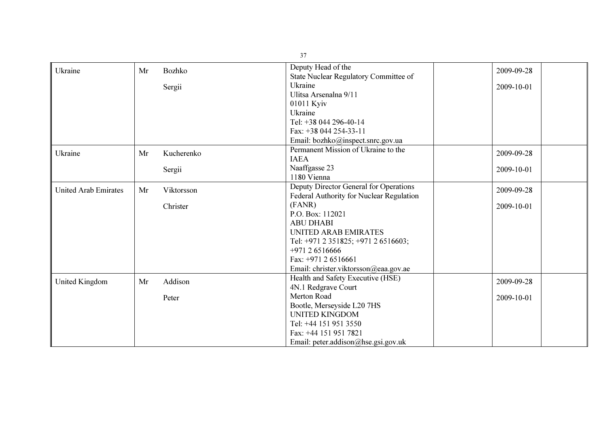| Ukraine                     | Mr | Bozhko     | Deputy Head of the                       | 2009-09-28 |
|-----------------------------|----|------------|------------------------------------------|------------|
|                             |    |            | State Nuclear Regulatory Committee of    |            |
|                             |    | Sergii     | Ukraine                                  | 2009-10-01 |
|                             |    |            | Ulitsa Arsenalna 9/11                    |            |
|                             |    |            | 01011 Kyiv                               |            |
|                             |    |            | Ukraine                                  |            |
|                             |    |            | Tel: +38 044 296-40-14                   |            |
|                             |    |            | Fax: +38 044 254-33-11                   |            |
|                             |    |            | Email: bozhko@inspect.snrc.gov.ua        |            |
| Ukraine                     | Mr | Kucherenko | Permanent Mission of Ukraine to the      | 2009-09-28 |
|                             |    |            | <b>IAEA</b>                              |            |
|                             |    | Sergii     | Naaffgasse 23                            | 2009-10-01 |
|                             |    |            | 1180 Vienna                              |            |
| <b>United Arab Emirates</b> | Mr | Viktorsson | Deputy Director General for Operations   | 2009-09-28 |
|                             |    |            | Federal Authority for Nuclear Regulation |            |
|                             |    | Christer   | (FANR)                                   | 2009-10-01 |
|                             |    |            | P.O. Box: 112021                         |            |
|                             |    |            | <b>ABU DHABI</b>                         |            |
|                             |    |            | <b>UNITED ARAB EMIRATES</b>              |            |
|                             |    |            | Tel: +971 2 351825; +971 2 6516603;      |            |
|                             |    |            | +971 2 6516666                           |            |
|                             |    |            | Fax: $+971$ 2 6516661                    |            |
|                             |    |            | Email: christer.viktorsson@eaa.gov.ae    |            |
| <b>United Kingdom</b>       | Mr | Addison    | Health and Safety Executive (HSE)        | 2009-09-28 |
|                             |    |            | 4N.1 Redgrave Court                      |            |
|                             |    | Peter      | Merton Road                              | 2009-10-01 |
|                             |    |            | Bootle, Merseyside L20 7HS               |            |
|                             |    |            | <b>UNITED KINGDOM</b>                    |            |
|                             |    |            | Tel: +44 151 951 3550                    |            |
|                             |    |            | Fax: +44 151 951 7821                    |            |
|                             |    |            | Email: peter.addison@hse.gsi.gov.uk      |            |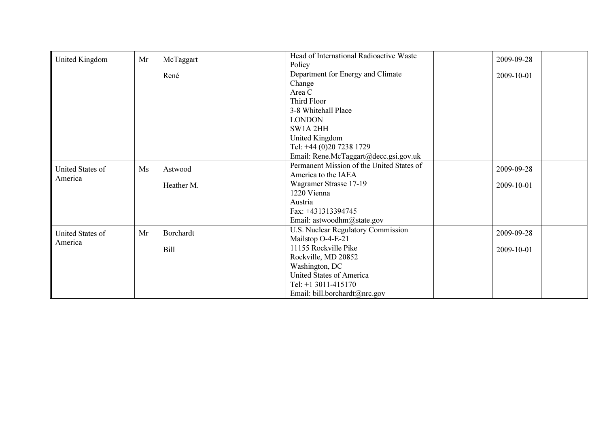| United Kingdom   | Mr | McTaggart  | Head of International Radioactive Waste   | 2009-09-28 |
|------------------|----|------------|-------------------------------------------|------------|
|                  |    |            | Policy                                    |            |
|                  |    | René       | Department for Energy and Climate         | 2009-10-01 |
|                  |    |            | Change                                    |            |
|                  |    |            | Area C                                    |            |
|                  |    |            | Third Floor                               |            |
|                  |    |            | 3-8 Whitehall Place                       |            |
|                  |    |            | <b>LONDON</b>                             |            |
|                  |    |            | SW1A 2HH                                  |            |
|                  |    |            | United Kingdom                            |            |
|                  |    |            | Tel: +44 (0)20 7238 1729                  |            |
|                  |    |            | Email: Rene.McTaggart@decc.gsi.gov.uk     |            |
| United States of | Ms | Astwood    | Permanent Mission of the United States of | 2009-09-28 |
| America          |    |            | America to the IAEA                       |            |
|                  |    | Heather M. | Wagramer Strasse 17-19                    | 2009-10-01 |
|                  |    |            | 1220 Vienna                               |            |
|                  |    |            | Austria                                   |            |
|                  |    |            | Fax: +431313394745                        |            |
|                  |    |            | Email: astwoodhm@state.gov                |            |
| United States of | Mr | Borchardt  | U.S. Nuclear Regulatory Commission        | 2009-09-28 |
| America          |    |            | Mailstop O-4-E-21                         |            |
|                  |    | Bill       | 11155 Rockville Pike                      | 2009-10-01 |
|                  |    |            | Rockville, MD 20852                       |            |
|                  |    |            | Washington, DC                            |            |
|                  |    |            | <b>United States of America</b>           |            |
|                  |    |            | Tel: $+1$ 3011-415170                     |            |
|                  |    |            | Email: bill.borchardt@nrc.gov             |            |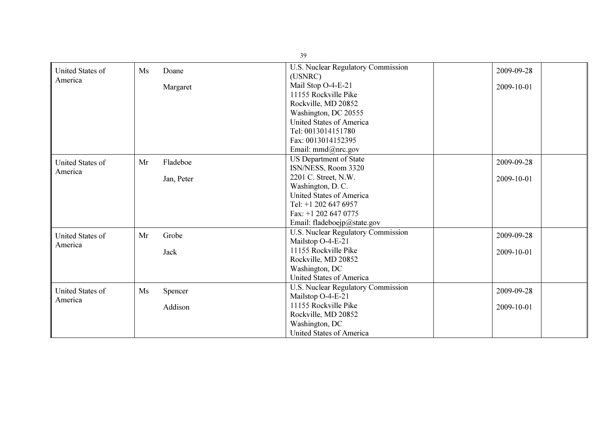|                         |    |            | 39                                            |            |
|-------------------------|----|------------|-----------------------------------------------|------------|
| United States of        | Ms | Doane      | U.S. Nuclear Regulatory Commission<br>(USNRC) | 2009-09-28 |
| America                 |    |            | Mail Stop O-4-E-21                            | 2009-10-01 |
|                         |    | Margaret   | 11155 Rockville Pike                          |            |
|                         |    |            | Rockville, MD 20852                           |            |
|                         |    |            | Washington, DC 20555                          |            |
|                         |    |            | United States of America                      |            |
|                         |    |            | Tel: 0013014151780                            |            |
|                         |    |            | Fax: 0013014152395                            |            |
|                         |    |            | Email: mmd@nrc.gov                            |            |
|                         |    |            | <b>US Department of State</b>                 |            |
| <b>United States of</b> | Mr | Fladeboe   | ISN/NESS, Room 3320                           | 2009-09-28 |
| America                 |    | Jan, Peter | 2201 C. Street, N.W.                          | 2009-10-01 |
|                         |    |            | Washington, D.C.                              |            |
|                         |    |            | United States of America                      |            |
|                         |    |            | Tel: +1 202 647 6957                          |            |
|                         |    |            | Fax: $+1$ 202 647 0775                        |            |
|                         |    |            | Email: fladeboejp@state.gov                   |            |
| <b>United States of</b> | Mr | Grobe      | U.S. Nuclear Regulatory Commission            | 2009-09-28 |
| America                 |    |            | Mailstop O-4-E-21                             |            |
|                         |    | Jack       | 11155 Rockville Pike                          | 2009-10-01 |
|                         |    |            | Rockville, MD 20852                           |            |
|                         |    |            | Washington, DC                                |            |
|                         |    |            | <b>United States of America</b>               |            |
| <b>United States of</b> | Ms | Spencer    | U.S. Nuclear Regulatory Commission            | 2009-09-28 |
| America                 |    |            | Mailstop O-4-E-21                             |            |
|                         |    | Addison    | 11155 Rockville Pike                          | 2009-10-01 |
|                         |    |            | Rockville, MD 20852                           |            |
|                         |    |            | Washington, DC                                |            |
|                         |    |            | <b>United States of America</b>               |            |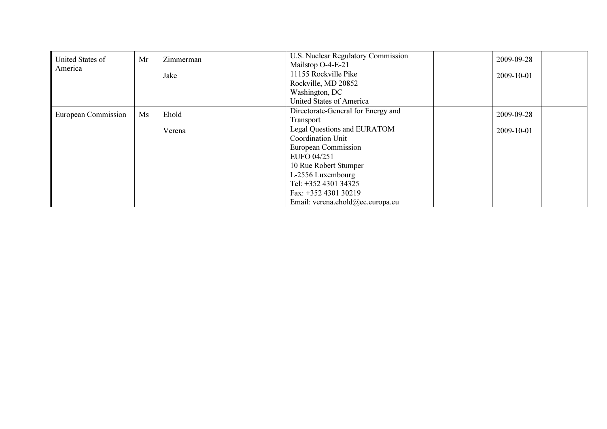| United States of    | Mr | Zimmerman | U.S. Nuclear Regulatory Commission | 2009-09-28 |
|---------------------|----|-----------|------------------------------------|------------|
| America             |    |           | Mailstop O-4-E-21                  |            |
|                     |    | Jake      | 11155 Rockville Pike               | 2009-10-01 |
|                     |    |           | Rockville, MD 20852                |            |
|                     |    |           | Washington, DC                     |            |
|                     |    |           | United States of America           |            |
| European Commission | Ms | Ehold     | Directorate-General for Energy and | 2009-09-28 |
|                     |    |           | Transport                          |            |
|                     |    | Verena    | <b>Legal Questions and EURATOM</b> | 2009-10-01 |
|                     |    |           | Coordination Unit                  |            |
|                     |    |           | European Commission                |            |
|                     |    |           | EUFO 04/251                        |            |
|                     |    |           | 10 Rue Robert Stumper              |            |
|                     |    |           | L-2556 Luxembourg                  |            |
|                     |    |           | Tel: +352 4301 34325               |            |
|                     |    |           | Fax: +352 4301 30219               |            |
|                     |    |           | Email: verena.ehold@ec.europa.eu   |            |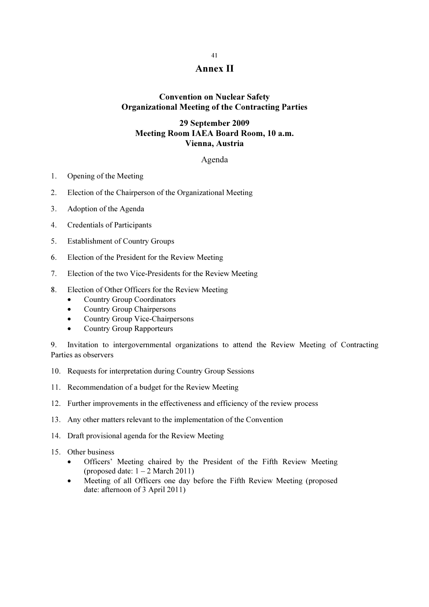## 41 Annex II

## Convention on Nuclear Safety Organizational Meeting of the Contracting Parties

### 29 September 2009 Meeting Room IAEA Board Room, 10 a.m. Vienna, Austria

#### Agenda

- 1. Opening of the Meeting
- 2. Election of the Chairperson of the Organizational Meeting
- 3. Adoption of the Agenda
- 4. Credentials of Participants
- 5. Establishment of Country Groups
- 6. Election of the President for the Review Meeting
- 7. Election of the two Vice-Presidents for the Review Meeting
- 8. Election of Other Officers for the Review Meeting
	- Country Group Coordinators
	- Country Group Chairpersons
	- Country Group Vice-Chairpersons
	- Country Group Rapporteurs

9. Invitation to intergovernmental organizations to attend the Review Meeting of Contracting Parties as observers

- 10. Requests for interpretation during Country Group Sessions
- 11. Recommendation of a budget for the Review Meeting
- 12. Further improvements in the effectiveness and efficiency of the review process
- 13. Any other matters relevant to the implementation of the Convention
- 14. Draft provisional agenda for the Review Meeting
- 15. Other business
	- Officers' Meeting chaired by the President of the Fifth Review Meeting (proposed date:  $1 - 2$  March 2011)
	- Meeting of all Officers one day before the Fifth Review Meeting (proposed date: afternoon of 3 April 2011)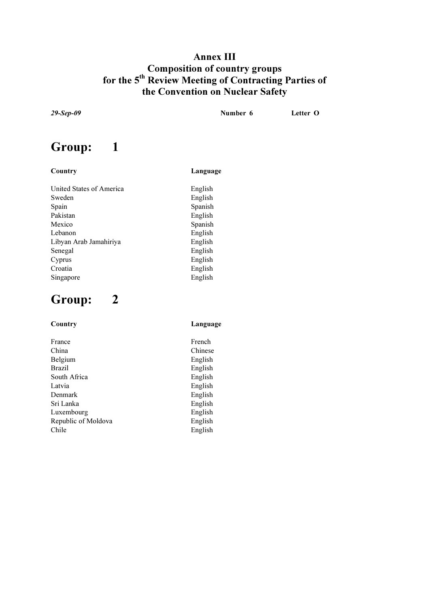## Annex III Composition of country groups for the 5<sup>th</sup> Review Meeting of Contracting Parties of the Convention on Nuclear Safety

English

29-Sep-09 Number 6 Letter O

# Group: 1

#### Country Language

United States of America<br>
Sweden
English<br>
English
English Spain Spanish Pakistan English Mexico Spanish Lebanon English Libyan Arab Jamahiriya English Senegal English Cyprus English Croatia English Singapore English

# Group: 2

| Language |
|----------|
| French   |
| Chinese  |
| English  |
| English  |
| English  |
| English  |
| English  |
| English  |
| English  |
| English  |
| English  |
|          |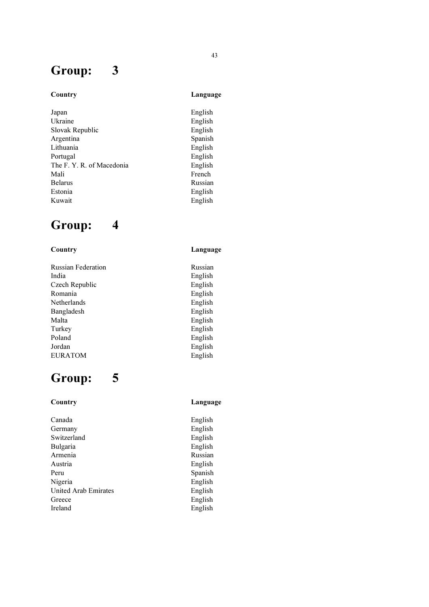# Group: 3

## Country Language

English  $English$ English Spanish English English English French Russian English English

# Group: 4

## Country Language

| <b>Russian Federation</b> | Russian |
|---------------------------|---------|
| India                     | English |
| Czech Republic            | English |
| Romania                   | English |
| Netherlands               | English |
| Bangladesh                | English |
| Malta                     | English |
| Turkey                    | English |
| Poland                    | English |
| Jordan                    | English |
| <b>EURATOM</b>            | English |
|                           |         |

# Group: 5

| Country                     | Language |
|-----------------------------|----------|
| Canada                      | English  |
| Germany                     | English  |
| Switzerland                 | English  |
| <b>Bulgaria</b>             | English  |
| Armenia                     | Russian  |
| Austria                     | English  |
| Peru                        | Spanish  |
| Nigeria                     | English  |
| <b>United Arab Emirates</b> | English  |
| Greece                      | English  |
| Ireland                     | English  |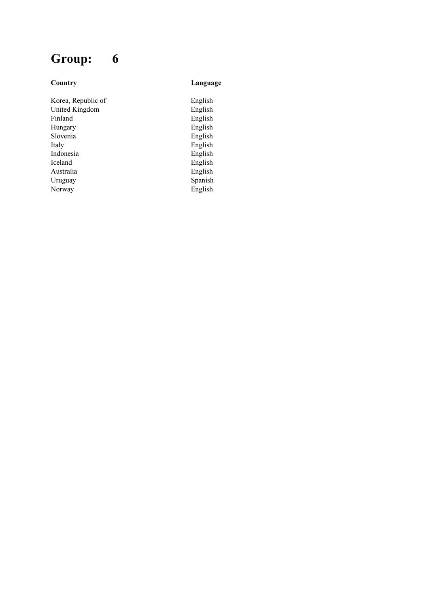# Group: 6

#### Country Language

Korea, Republic of English United Kingdom **English** Finland English Hungary English Slovenia<br>Italy Indonesia<br>Iceland Iceland English<br>Australia English<br>English Uruguay Spanish

English<br>English  $English$ English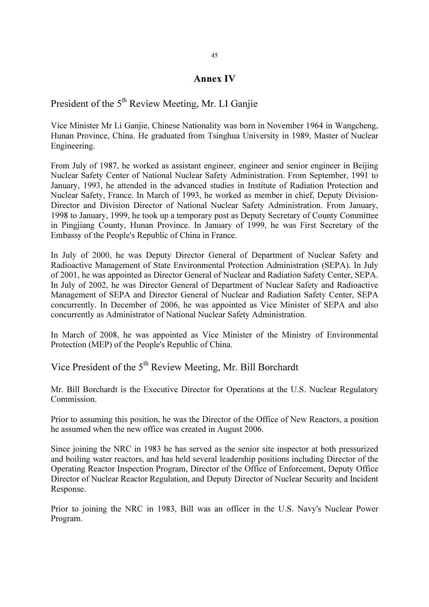## Annex IV

President of the  $5<sup>th</sup>$  Review Meeting, Mr. LI Ganjie

Vice Minister Mr Li Ganjie, Chinese Nationality was born in November 1964 in Wangcheng, Hunan Province, China. He graduated from Tsinghua University in 1989, Master of Nuclear Engineering.

From July of 1987, he worked as assistant engineer, engineer and senior engineer in Beijing Nuclear Safety Center of National Nuclear Safety Administration. From September, 1991 to January, 1993, he attended in the advanced studies in Institute of Radiation Protection and Nuclear Safety, France. In March of 1993, he worked as member in chief, Deputy Division-Director and Division Director of National Nuclear Safety Administration. From January, 1998 to January, 1999, he took up a temporary post as Deputy Secretary of County Committee in Pingjiang County, Hunan Province. In January of 1999, he was First Secretary of the Embassy of the People's Republic of China in France.

In July of 2000, he was Deputy Director General of Department of Nuclear Safety and Radioactive Management of State Environmental Protection Administration (SEPA). In July of 2001, he was appointed as Director General of Nuclear and Radiation Safety Center, SEPA. In July of 2002, he was Director General of Department of Nuclear Safety and Radioactive Management of SEPA and Director General of Nuclear and Radiation Safety Center, SEPA concurrently. In December of 2006, he was appointed as Vice Minister of SEPA and also concurrently as Administrator of National Nuclear Safety Administration.

In March of 2008, he was appointed as Vice Minister of the Ministry of Environmental Protection (MEP) of the People's Republic of China.

Vice President of the 5<sup>th</sup> Review Meeting, Mr. Bill Borchardt

Mr. Bill Borchardt is the Executive Director for Operations at the U.S. Nuclear Regulatory Commission.

Prior to assuming this position, he was the Director of the Office of New Reactors, a position he assumed when the new office was created in August 2006.

Since joining the NRC in 1983 he has served as the senior site inspector at both pressurized and boiling water reactors, and has held several leadership positions including Director of the Operating Reactor Inspection Program, Director of the Office of Enforcement, Deputy Office Director of Nuclear Reactor Regulation, and Deputy Director of Nuclear Security and Incident Response.

Prior to joining the NRC in 1983, Bill was an officer in the U.S. Navy's Nuclear Power Program.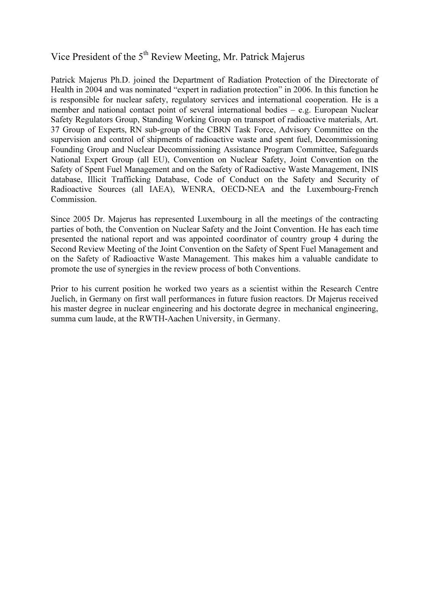## Vice President of the 5<sup>th</sup> Review Meeting, Mr. Patrick Majerus

Patrick Majerus Ph.D. joined the Department of Radiation Protection of the Directorate of Health in 2004 and was nominated "expert in radiation protection" in 2006. In this function he is responsible for nuclear safety, regulatory services and international cooperation. He is a member and national contact point of several international bodies – e.g. European Nuclear Safety Regulators Group, Standing Working Group on transport of radioactive materials, Art. 37 Group of Experts, RN sub-group of the CBRN Task Force, Advisory Committee on the supervision and control of shipments of radioactive waste and spent fuel, Decommissioning Founding Group and Nuclear Decommissioning Assistance Program Committee, Safeguards National Expert Group (all EU), Convention on Nuclear Safety, Joint Convention on the Safety of Spent Fuel Management and on the Safety of Radioactive Waste Management, INIS database, Illicit Trafficking Database, Code of Conduct on the Safety and Security of Radioactive Sources (all IAEA), WENRA, OECD-NEA and the Luxembourg-French Commission.

Since 2005 Dr. Majerus has represented Luxembourg in all the meetings of the contracting parties of both, the Convention on Nuclear Safety and the Joint Convention. He has each time presented the national report and was appointed coordinator of country group 4 during the Second Review Meeting of the Joint Convention on the Safety of Spent Fuel Management and on the Safety of Radioactive Waste Management. This makes him a valuable candidate to promote the use of synergies in the review process of both Conventions.

Prior to his current position he worked two years as a scientist within the Research Centre Juelich, in Germany on first wall performances in future fusion reactors. Dr Majerus received his master degree in nuclear engineering and his doctorate degree in mechanical engineering, summa cum laude, at the RWTH-Aachen University, in Germany.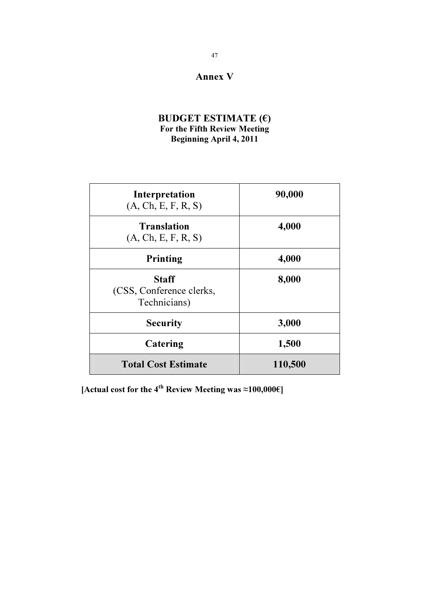## Annex V

## BUDGET ESTIMATE  $(\epsilon)$ For the Fifth Review Meeting Beginning April 4, 2011

| Interpretation<br>(A, Ch, E, F, R, S)                    | 90,000  |  |  |  |
|----------------------------------------------------------|---------|--|--|--|
| <b>Translation</b><br>(A, Ch, E, F, R, S)                | 4,000   |  |  |  |
| <b>Printing</b>                                          | 4,000   |  |  |  |
| <b>Staff</b><br>(CSS, Conference clerks,<br>Technicians) | 8,000   |  |  |  |
| <b>Security</b>                                          | 3,000   |  |  |  |
| Catering                                                 | 1,500   |  |  |  |
| <b>Total Cost Estimate</b>                               | 110,500 |  |  |  |

[Actual cost for the 4<sup>th</sup> Review Meeting was  $\approx$ 100,000€]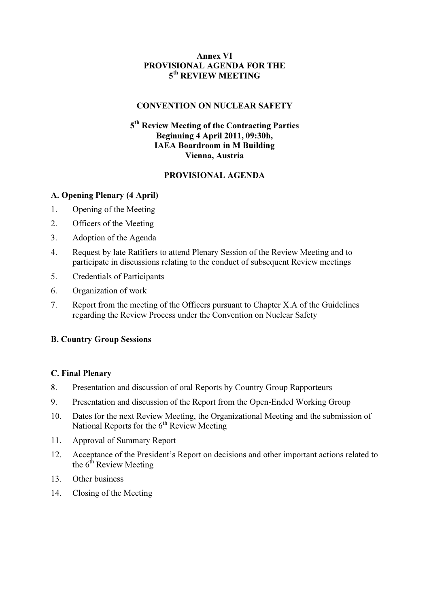## Annex VI PROVISIONAL AGENDA FOR THE 5<sup>th</sup> REVIEW MEETING

## CONVENTION ON NUCLEAR SAFETY

## 5<sup>th</sup> Review Meeting of the Contracting Parties Beginning 4 April 2011, 09:30h, IAEA Boardroom in M Building Vienna, Austria

## PROVISIONAL AGENDA

## A. Opening Plenary (4 April)

- 1. Opening of the Meeting
- 2. Officers of the Meeting
- 3. Adoption of the Agenda
- 4. Request by late Ratifiers to attend Plenary Session of the Review Meeting and to participate in discussions relating to the conduct of subsequent Review meetings
- 5. Credentials of Participants
- 6. Organization of work
- 7. Report from the meeting of the Officers pursuant to Chapter X.A of the Guidelines regarding the Review Process under the Convention on Nuclear Safety

#### B. Country Group Sessions

#### C. Final Plenary

- 8. Presentation and discussion of oral Reports by Country Group Rapporteurs
- 9. Presentation and discussion of the Report from the Open-Ended Working Group
- 10. Dates for the next Review Meeting, the Organizational Meeting and the submission of National Reports for the  $6<sup>th</sup>$  Review Meeting
- 11. Approval of Summary Report
- 12. Acceptance of the President's Report on decisions and other important actions related to the  $6<sup>th</sup>$  Review Meeting
- 13. Other business
- 14. Closing of the Meeting